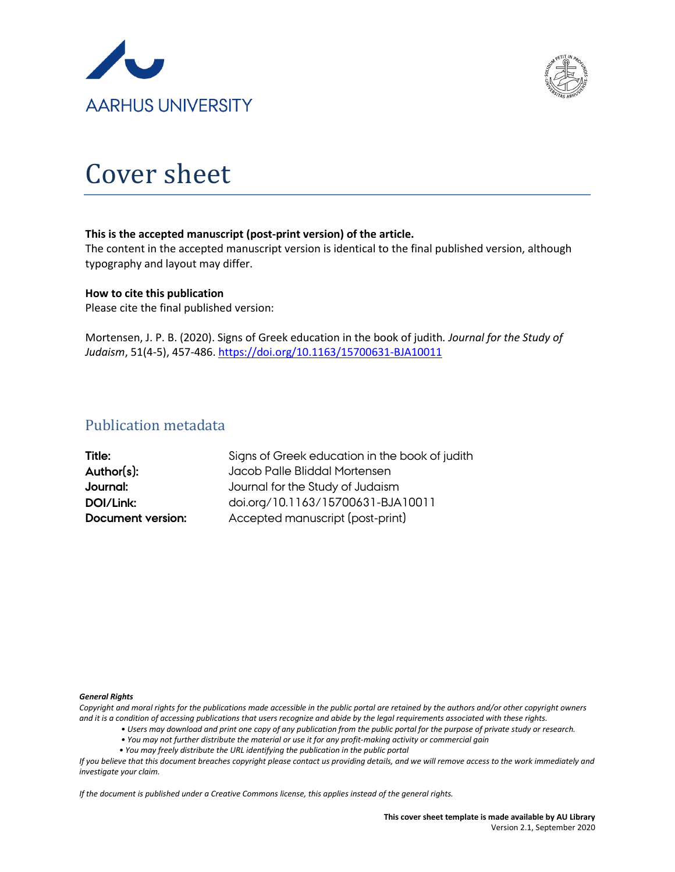



# Cover sheet

#### **This is the accepted manuscript (post-print version) of the article.**

The content in the accepted manuscript version is identical to the final published version, although typography and layout may differ.

#### **How to cite this publication**

Please cite the final published version:

Mortensen, J. P. B. (2020). Signs of Greek education in the book of judith*. Journal for the Study of Judaism*, 51(4-5), 457-486.<https://doi.org/10.1163/15700631-BJA10011>

# Publication metadata

| Title:                   | Signs of Greek education in the book of judith |
|--------------------------|------------------------------------------------|
| Author(s):               | Jacob Palle Bliddal Mortensen                  |
| Journal:                 | Journal for the Study of Judaism               |
| DOI/Link:                | doi.org/10.1163/15700631-BJA10011              |
| <b>Document version:</b> | Accepted manuscript (post-print)               |

#### *General Rights*

*Copyright and moral rights for the publications made accessible in the public portal are retained by the authors and/or other copyright owners and it is a condition of accessing publications that users recognize and abide by the legal requirements associated with these rights.*

- *Users may download and print one copy of any publication from the public portal for the purpose of private study or research.*
- *You may not further distribute the material or use it for any profit-making activity or commercial gain*
- *You may freely distribute the URL identifying the publication in the public portal*

*If you believe that this document breaches copyright please contact us providing details, and we will remove access to the work immediately and investigate your claim.*

*If the document is published under a Creative Commons license, this applies instead of the general rights.*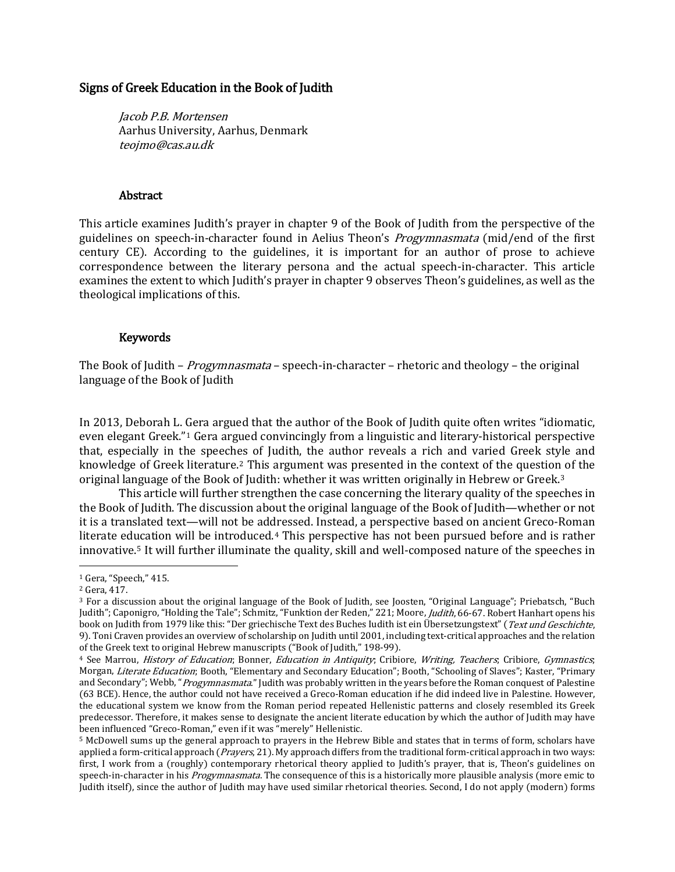# Signs of Greek Education in the Book of Judith

Jacob P.B. Mortensen Aarhus University, Aarhus, Denmark [teojmo@cas.au.dk](mailto:teojmo@cas.au.dk)

#### Abstract

This article examines Judith's prayer in chapter 9 of the Book of Judith from the perspective of the guidelines on speech-in-character found in Aelius Theon's *Progymnasmata* (mid/end of the first century CE). According to the guidelines, it is important for an author of prose to achieve correspondence between the literary persona and the actual speech-in-character. This article examines the extent to which Judith's prayer in chapter 9 observes Theon's guidelines, as well as the theological implications of this.

#### Keywords

The Book of Judith – *Progymnasmata* – speech-in-character – rhetoric and theology – the original language of the Book of Judith

In 2013, Deborah L. Gera argued that the author of the Book of Judith quite often writes "idiomatic, even elegant Greek."[1](#page-1-0) Gera argued convincingly from a linguistic and literary-historical perspective that, especially in the speeches of Judith, the author reveals a rich and varied Greek style and knowledge of Greek literature[.2](#page-1-1) This argument was presented in the context of the question of the original language of the Book of Judith: whether it was written originally in Hebrew or Greek.<sup>[3](#page-1-2)</sup>

This article will further strengthen the case concerning the literary quality of the speeches in the Book of Judith. The discussion about the original language of the Book of Judith—whether or not it is a translated text—will not be addressed. Instead, a perspective based on ancient Greco-Roman literate education will be introduced.[4](#page-1-3) This perspective has not been pursued before and is rather innovative.[5](#page-1-4) It will further illuminate the quality, skill and well-composed nature of the speeches in

<span id="page-1-0"></span><sup>1</sup> Gera, "Speech," 415.

<span id="page-1-1"></span><sup>2</sup> Gera, 417.

<span id="page-1-2"></span><sup>3</sup> For a discussion about the original language of the Book of Judith, see Joosten, "Original Language"; Priebatsch, "Buch Judith"; Caponigro, "Holding the Tale"; Schmitz, "Funktion der Reden," 221; Moore, Judith, 66-67. Robert Hanhart opens his book on Judith from 1979 like this: "Der griechische Text des Buches Iudith ist ein Übersetzungstext" (Text und Geschichte, 9). Toni Craven provides an overview of scholarship on Judith until 2001, including text-critical approaches and the relation of the Greek text to original Hebrew manuscripts ("Book of Judith," 198-99).

<span id="page-1-3"></span><sup>&</sup>lt;sup>4</sup> See Marrou, History of Education; Bonner, Education in Antiquity; Cribiore, Writing, Teachers; Cribiore, Gymnastics; Morgan, Literate Education; Booth, "Elementary and Secondary Education"; Booth, "Schooling of Slaves"; Kaster, "Primary and Secondary"; Webb, "Progymnasmata." Judith was probably written in the years before the Roman conquest of Palestine (63 BCE). Hence, the author could not have received a Greco-Roman education if he did indeed live in Palestine. However, the educational system we know from the Roman period repeated Hellenistic patterns and closely resembled its Greek predecessor. Therefore, it makes sense to designate the ancient literate education by which the author of Judith may have been influenced "Greco-Roman," even if it was "merely" Hellenistic.

<span id="page-1-4"></span><sup>5</sup> McDowell sums up the general approach to prayers in the Hebrew Bible and states that in terms of form, scholars have applied a form-critical approach (Prayers, 21). My approach differs from the traditional form-critical approach in two ways: first, I work from a (roughly) contemporary rhetorical theory applied to Judith's prayer, that is, Theon's guidelines on speech-in-character in his Progymnasmata. The consequence of this is a historically more plausible analysis (more emic to Judith itself), since the author of Judith may have used similar rhetorical theories. Second, I do not apply (modern) forms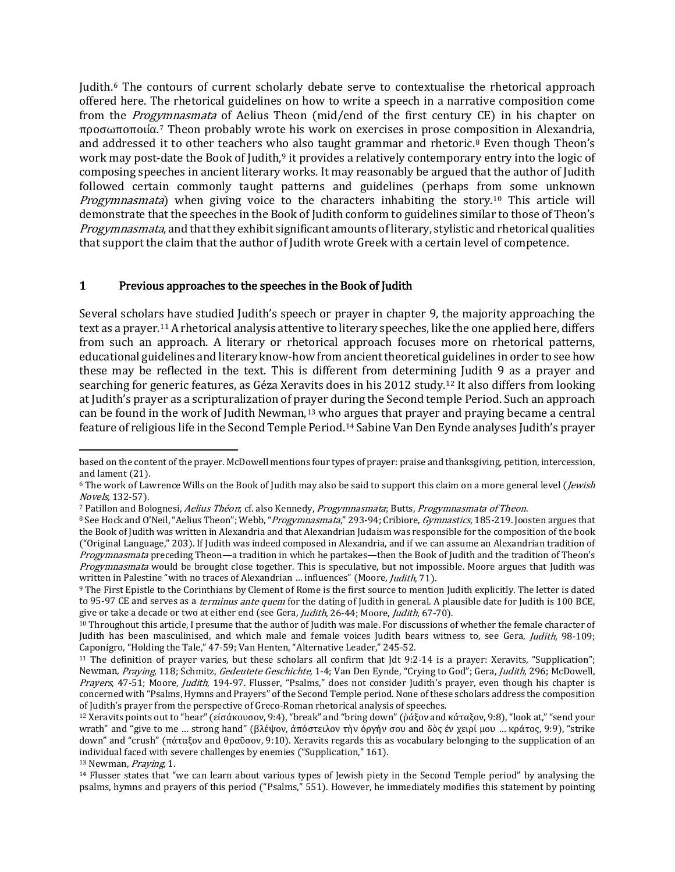Iudith.<sup>[6](#page-2-0)</sup> The contours of current scholarly debate serve to contextualise the rhetorical approach offered here. The rhetorical guidelines on how to write a speech in a narrative composition come from the Progymnasmata of Aelius Theon (mid/end of the first century CE) in his chapter on προσωποποιία.[7](#page-2-1) Theon probably wrote his work on exercises in prose composition in Alexandria, and addressed it to other teachers who also taught grammar and rhetoric.[8](#page-2-2) Even though Theon's work may post-date the Book of Judith,<sup>[9](#page-2-3)</sup> it provides a relatively contemporary entry into the logic of composing speeches in ancient literary works. It may reasonably be argued that the author of Judith followed certain commonly taught patterns and guidelines (perhaps from some unknown Progymnasmata) when giving voice to the characters inhabiting the story.<sup>[10](#page-2-4)</sup> This article will demonstrate that the speeches in the Book of Judith conform to guidelines similar to those of Theon's Progymnasmata, and that they exhibit significant amounts of literary, stylistic and rhetorical qualities that support the claim that the author of Judith wrote Greek with a certain level of competence.

#### 1 Previous approaches to the speeches in the Book of Judith

Several scholars have studied Judith's speech or prayer in chapter 9, the majority approaching the text as a prayer.[11](#page-2-5) A rhetorical analysis attentive to literary speeches, like the one applied here, differs from such an approach. A literary or rhetorical approach focuses more on rhetorical patterns, educational guidelines and literary know-how from ancient theoretical guidelines in order to see how these may be reflected in the text. This is different from determining Judith 9 as a prayer and searching for generic features, as Géza Xeravits does in his 2012 study.[12](#page-2-6) It also differs from looking at Judith's prayer as a scripturalization of prayer during the Second temple Period. Such an approach can be found in the work of Judith Newman,[13](#page-2-7) who argues that prayer and praying became a central feature of religious life in the Second Temple Period.[14](#page-2-8) Sabine Van Den Eynde analyses Judith's prayer

<span id="page-2-7"></span><sup>13</sup> Newman, Praying, 1.

based on the content of the prayer. McDowell mentions four types of prayer: praise and thanksgiving, petition, intercession, and lament (21).

<span id="page-2-0"></span><sup>&</sup>lt;sup>6</sup> The work of Lawrence Wills on the Book of Judith may also be said to support this claim on a more general level (Jewish Novels, 132-57).

<span id="page-2-1"></span><sup>7</sup> Patillon and Bolognesi, Aelius Théon; cf. also Kennedy, Progymnasmata; Butts, Progymnasmata of Theon.

<span id="page-2-2"></span><sup>&</sup>lt;sup>8</sup> See Hock and O'Neil, "Aelius Theon"; Webb, "*Progymnasmata*," 293-94; Cribiore, *Gymnastics*, 185-219. Joosten argues that the Book of Judith was written in Alexandria and that Alexandrian Judaism was responsible for the composition of the book ("Original Language," 203). If Judith was indeed composed in Alexandria, and if we can assume an Alexandrian tradition of Progymnasmata preceding Theon—a tradition in which he partakes—then the Book of Judith and the tradition of Theon's Progymnasmata would be brought close together. This is speculative, but not impossible. Moore argues that Judith was written in Palestine "with no traces of Alexandrian ... influences" (Moore, *Judith*, 71).

<span id="page-2-3"></span><sup>9</sup> The First Epistle to the Corinthians by Clement of Rome is the first source to mention Judith explicitly. The letter is dated to 95-97 CE and serves as a *terminus ante quem* for the dating of Judith in general. A plausible date for Judith is 100 BCE, give or take a decade or two at either end (see Gera, Judith, 26-44; Moore, Judith, 67-70).

<span id="page-2-4"></span><sup>&</sup>lt;sup>10</sup> Throughout this article, I presume that the author of Judith was male. For discussions of whether the female character of Judith has been masculinised, and which male and female voices Judith bears witness to, see Gera, *Judith*, 98-109; Caponigro, "Holding the Tale," 47-59; Van Henten, "Alternative Leader," 245-52.

<span id="page-2-5"></span><sup>11</sup> The definition of prayer varies, but these scholars all confirm that Jdt 9:2-14 is a prayer: Xeravits, "Supplication"; Newman, Praying, 118; Schmitz, Gedeutete Geschichte, 1-4; Van Den Eynde, "Crying to God"; Gera, Judith, 296; McDowell, Prayers, 47-51; Moore, Judith, 194-97. Flusser, "Psalms," does not consider Judith's prayer, even though his chapter is concerned with "Psalms, Hymns and Prayers" of the Second Temple period. None of these scholars address the composition of Judith's prayer from the perspective of Greco-Roman rhetorical analysis of speeches.

<span id="page-2-6"></span><sup>12</sup> Xeravits points out to "hear" (εἰσάκουσον, 9:4), "break" and "bring down" (ῥάξον and κάταξον, 9:8), "look at," "send your wrath" and "give to me … strong hand" (βλέψον, ἀπόστειλον τὴν ὀργήν σου and δὸς ἐν χειρί μου … κράτος, 9:9), "strike down" and "crush" (πάταξον and θραῦσον, 9:10). Xeravits regards this as vocabulary belonging to the supplication of an individual faced with severe challenges by enemies ("Supplication," 161).

<span id="page-2-8"></span><sup>14</sup> Flusser states that "we can learn about various types of Jewish piety in the Second Temple period" by analysing the psalms, hymns and prayers of this period ("Psalms," 551). However, he immediately modifies this statement by pointing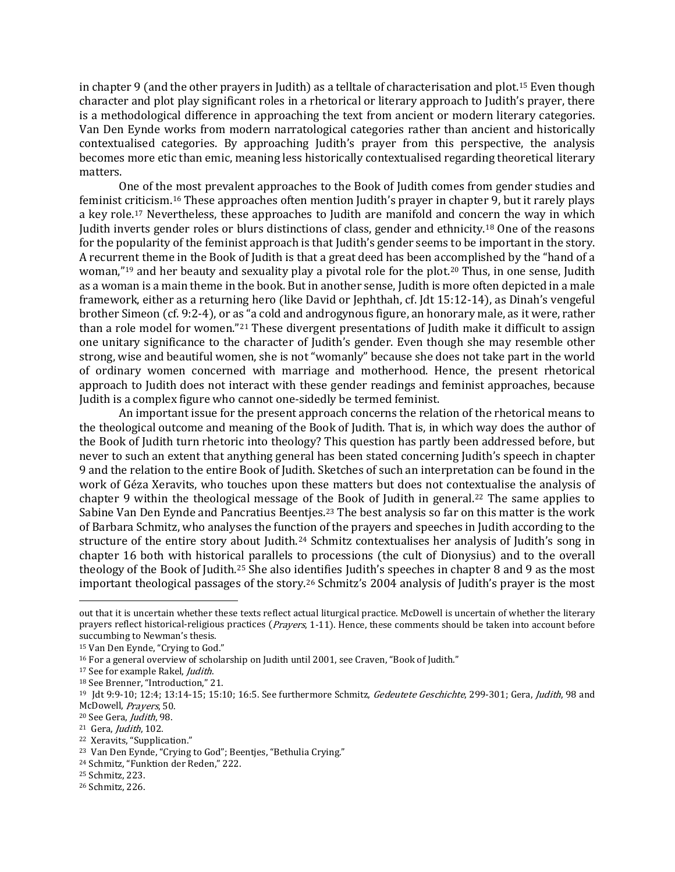in chapter 9 (and the other prayers in Judith) as a telltale of characterisation and plot.[15](#page-3-0) Even though character and plot play significant roles in a rhetorical or literary approach to Judith's prayer, there is a methodological difference in approaching the text from ancient or modern literary categories. Van Den Eynde works from modern narratological categories rather than ancient and historically contextualised categories. By approaching Judith's prayer from this perspective, the analysis becomes more etic than emic, meaning less historically contextualised regarding theoretical literary matters.

One of the most prevalent approaches to the Book of Judith comes from gender studies and feminist criticism.[16](#page-3-1) These approaches often mention Judith's prayer in chapter 9, but it rarely plays a key role.[17](#page-3-2) Nevertheless, these approaches to Judith are manifold and concern the way in which Judith inverts gender roles or blurs distinctions of class, gender and ethnicity.[18](#page-3-3) One of the reasons for the popularity of the feminist approach is that Judith's gender seems to be important in the story. A recurrent theme in the Book of Judith is that a great deed has been accomplished by the "hand of a woman,"<sup>[19](#page-3-4)</sup> and her beauty and sexuality play a pivotal role for the plot.<sup>[20](#page-3-5)</sup> Thus, in one sense, Judith as a woman is a main theme in the book. But in another sense, Judith is more often depicted in a male framework, either as a returning hero (like David or Jephthah, cf. Jdt 15:12-14), as Dinah's vengeful brother Simeon (cf. 9:2-4), or as "a cold and androgynous figure, an honorary male, as it were, rather than a role model for women."[21](#page-3-6) These divergent presentations of Judith make it difficult to assign one unitary significance to the character of Judith's gender. Even though she may resemble other strong, wise and beautiful women, she is not "womanly" because she does not take part in the world of ordinary women concerned with marriage and motherhood. Hence, the present rhetorical approach to Judith does not interact with these gender readings and feminist approaches, because Judith is a complex figure who cannot one-sidedly be termed feminist.

An important issue for the present approach concerns the relation of the rhetorical means to the theological outcome and meaning of the Book of Judith. That is, in which way does the author of the Book of Judith turn rhetoric into theology? This question has partly been addressed before, but never to such an extent that anything general has been stated concerning Judith's speech in chapter 9 and the relation to the entire Book of Judith. Sketches of such an interpretation can be found in the work of Géza Xeravits, who touches upon these matters but does not contextualise the analysis of chapter 9 within the theological message of the Book of Judith in general.[22](#page-3-7) The same applies to Sabine Van Den Eynde and Pancratius Beentjes.<sup>[23](#page-3-8)</sup> The best analysis so far on this matter is the work of Barbara Schmitz, who analyses the function of the prayers and speeches in Judith according to the structure of the entire story about Judith.[24](#page-3-9) Schmitz contextualises her analysis of Judith's song in chapter 16 both with historical parallels to processions (the cult of Dionysius) and to the overall theology of the Book of Judith.[25](#page-3-10) She also identifies Judith's speeches in chapter 8 and 9 as the most important theological passages of the story.[26](#page-3-11) Schmitz's 2004 analysis of Judith's prayer is the most

out that it is uncertain whether these texts reflect actual liturgical practice. McDowell is uncertain of whether the literary prayers reflect historical-religious practices (*Prayers*, 1-11). Hence, these comments should be taken into account before succumbing to Newman's thesis.

<span id="page-3-0"></span><sup>15</sup> Van Den Eynde, "Crying to God."

<span id="page-3-1"></span><sup>16</sup> For a general overview of scholarship on Judith until 2001, see Craven, "Book of Judith."

<span id="page-3-2"></span><sup>17</sup> See for example Rakel, Judith.

<span id="page-3-3"></span><sup>18</sup> See Brenner, "Introduction," 21.

<span id="page-3-4"></span><sup>&</sup>lt;sup>19</sup> Jdt 9:9-10; 12:4; 13:14-15; 15:10; 16:5. See furthermore Schmitz, Gedeutete Geschichte, 299-301; Gera, Judith, 98 and McDowell, Prayers, 50.

<span id="page-3-5"></span><sup>20</sup> See Gera, Judith, 98.

<span id="page-3-6"></span><sup>21</sup> Gera, Judith, 102.

<span id="page-3-7"></span><sup>22</sup> Xeravits, "Supplication."

<span id="page-3-8"></span><sup>23</sup> Van Den Eynde, "Crying to God"; Beentjes, "Bethulia Crying."

<span id="page-3-9"></span><sup>24</sup> Schmitz, "Funktion der Reden," 222.

<span id="page-3-10"></span><sup>25</sup> Schmitz, 223.

<span id="page-3-11"></span><sup>26</sup> Schmitz, 226.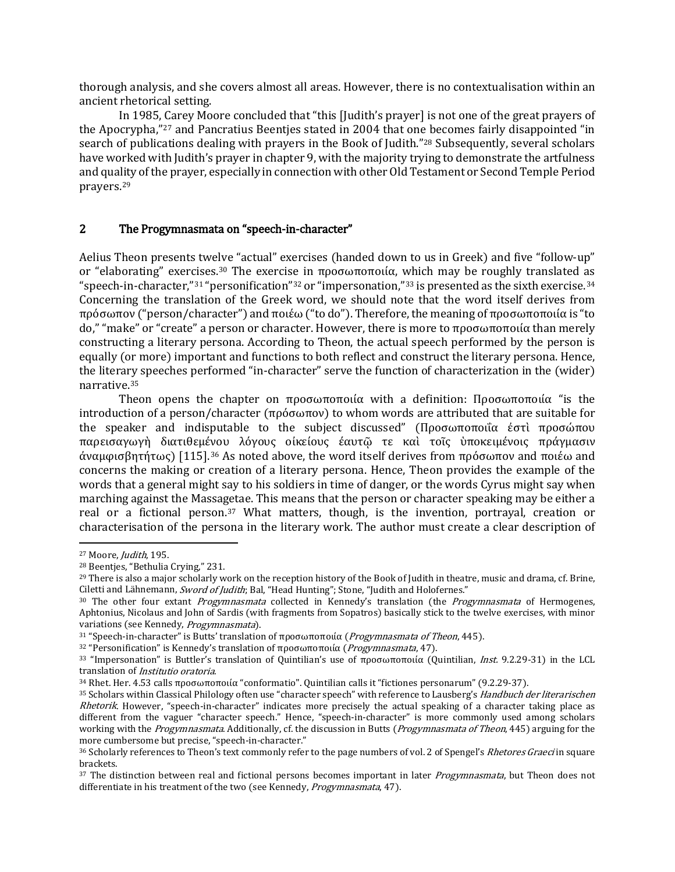thorough analysis, and she covers almost all areas. However, there is no contextualisation within an ancient rhetorical setting.

In 1985, Carey Moore concluded that "this [Judith's prayer] is not one of the great prayers of the Apocrypha,"[27](#page-4-0) and Pancratius Beentjes stated in 2004 that one becomes fairly disappointed "in search of publications dealing with prayers in the Book of Judith."[28](#page-4-1) Subsequently, several scholars have worked with Judith's prayer in chapter 9, with the majority trying to demonstrate the artfulness and quality of the prayer, especially in connection with other Old Testament or Second Temple Period prayers.[29](#page-4-2)

#### 2 The Progymnasmata on "speech-in-character"

Aelius Theon presents twelve "actual" exercises (handed down to us in Greek) and five "follow-up" or "elaborating" exercises.[30](#page-4-3) The exercise in προσωποποιία, which may be roughly translated as "speech-in-character,"[31](#page-4-4) "personification"[32](#page-4-5) or "impersonation,"[33](#page-4-6) is presented as the sixth exercise.[34](#page-4-7) Concerning the translation of the Greek word, we should note that the word itself derives from πρόσωπον ("person/character") and ποιέω ("to do"). Therefore, the meaning of προσωποποιία is "to do," "make" or "create" a person or character. However, there is more to προσωποποιία than merely constructing a literary persona. According to Theon, the actual speech performed by the person is equally (or more) important and functions to both reflect and construct the literary persona. Hence, the literary speeches performed "in-character" serve the function of characterization in the (wider) narrative[.35](#page-4-8)

Theon opens the chapter on προσωποποιία with a definition: Προσωποποιία "is the introduction of a person/character (πρόσωπον) to whom words are attributed that are suitable for the speaker and indisputable to the subject discussed" (Προσωποποιΐα ἐστὶ προσώπου παρεισαγωγὴ διατιθεμένου λόγους οἰκείους έαυτῷ τε καὶ τοῖς ὑποκειμένοις πράγμασιν ἀναμφισβητήτως) [115].[36](#page-4-9) As noted above, the word itself derives from πρόσωπον and ποιέω and concerns the making or creation of a literary persona. Hence, Theon provides the example of the words that a general might say to his soldiers in time of danger, or the words Cyrus might say when marching against the Massagetae. This means that the person or character speaking may be either a real or a fictional person.[37](#page-4-10) What matters, though, is the invention, portrayal, creation or characterisation of the persona in the literary work. The author must create a clear description of

<span id="page-4-0"></span><sup>27</sup> Moore, Judith, 195.

<span id="page-4-1"></span><sup>28</sup> Beentjes, "Bethulia Crying," 231.

<span id="page-4-2"></span><sup>&</sup>lt;sup>29</sup> There is also a major scholarly work on the reception history of the Book of Judith in theatre, music and drama, cf. Brine, Ciletti and Lähnemann, Sword of Judith; Bal, "Head Hunting"; Stone, "Judith and Holofernes."

<span id="page-4-3"></span><sup>&</sup>lt;sup>30</sup> The other four extant *Progymnasmata* collected in Kennedy's translation (the *Progymnasmata* of Hermogenes, Aphtonius, Nicolaus and John of Sardis (with fragments from Sopatros) basically stick to the twelve exercises, with minor variations (see Kennedy, Progymnasmata).

<span id="page-4-4"></span><sup>&</sup>lt;sup>31</sup> "Speech-in-character" is Butts' translation of προσωποποιία (*Progymnasmata of Theon*, 445).

<span id="page-4-5"></span><sup>&</sup>lt;sup>32</sup> "Personification" is Kennedy's translation of προσωποποιία (*Progymnasmata*, 47).

<span id="page-4-6"></span><sup>33</sup> "Impersonation" is Buttler's translation of Quintilian's use of προσωποποιία (Quintilian, Inst. 9.2.29-31) in the LCL translation of Institutio oratoria.

<span id="page-4-7"></span><sup>34</sup> Rhet. Her. 4.53 calls προσωποποιία "conformatio". Quintilian calls it "fictiones personarum" (9.2.29-37).

<span id="page-4-8"></span><sup>35</sup> Scholars within Classical Philology often use "character speech" with reference to Lausberg's Handbuch der literarischen Rhetorik. However, "speech-in-character" indicates more precisely the actual speaking of a character taking place as different from the vaguer "character speech." Hence, "speech-in-character" is more commonly used among scholars working with the *Progymnasmata*. Additionally, cf. the discussion in Butts (*Progymnasmata of Theon*, 445) arguing for the more cumbersome but precise, "speech-in-character."

<span id="page-4-9"></span><sup>&</sup>lt;sup>36</sup> Scholarly references to Theon's text commonly refer to the page numbers of vol. 2 of Spengel's *Rhetores Graeci* in square brackets.

<span id="page-4-10"></span><sup>&</sup>lt;sup>37</sup> The distinction between real and fictional persons becomes important in later *Progymnasmata*, but Theon does not differentiate in his treatment of the two (see Kennedy, Progymnasmata, 47).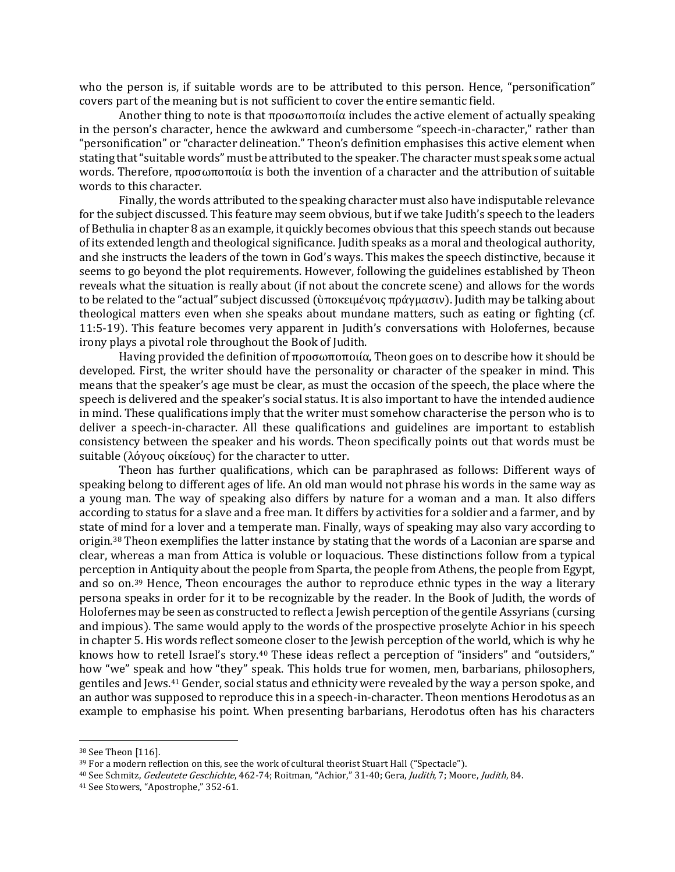who the person is, if suitable words are to be attributed to this person. Hence, "personification" covers part of the meaning but is not sufficient to cover the entire semantic field.

Another thing to note is that προσωποποιία includes the active element of actually speaking in the person's character, hence the awkward and cumbersome "speech-in-character," rather than "personification" or "character delineation." Theon's definition emphasises this active element when stating that "suitable words" must be attributed to the speaker. The character must speak some actual words. Therefore, προσωποποιία is both the invention of a character and the attribution of suitable words to this character.

Finally, the words attributed to the speaking character must also have indisputable relevance for the subject discussed. This feature may seem obvious, but if we take Judith's speech to the leaders of Bethulia in chapter 8 as an example, it quickly becomes obvious that this speech stands out because of its extended length and theological significance. Judith speaks as a moral and theological authority, and she instructs the leaders of the town in God's ways. This makes the speech distinctive, because it seems to go beyond the plot requirements. However, following the guidelines established by Theon reveals what the situation is really about (if not about the concrete scene) and allows for the words to be related to the "actual" subject discussed (ὑποκειμένοις πράγμασιν). Judith may be talking about theological matters even when she speaks about mundane matters, such as eating or fighting (cf. 11:5-19). This feature becomes very apparent in Judith's conversations with Holofernes, because irony plays a pivotal role throughout the Book of Judith.

Having provided the definition of προσωποποιία, Theon goes on to describe how it should be developed. First, the writer should have the personality or character of the speaker in mind. This means that the speaker's age must be clear, as must the occasion of the speech, the place where the speech is delivered and the speaker's social status. It is also important to have the intended audience in mind. These qualifications imply that the writer must somehow characterise the person who is to deliver a speech-in-character. All these qualifications and guidelines are important to establish consistency between the speaker and his words. Theon specifically points out that words must be suitable (λόγους οἰκείους) for the character to utter.

Theon has further qualifications, which can be paraphrased as follows: Different ways of speaking belong to different ages of life. An old man would not phrase his words in the same way as a young man. The way of speaking also differs by nature for a woman and a man. It also differs according to status for a slave and a free man. It differs by activities for a soldier and a farmer, and by state of mind for a lover and a temperate man. Finally, ways of speaking may also vary according to origin.[38](#page-5-0) Theon exemplifies the latter instance by stating that the words of a Laconian are sparse and clear, whereas a man from Attica is voluble or loquacious. These distinctions follow from a typical perception in Antiquity about the people from Sparta, the people from Athens, the people from Egypt, and so on.[39](#page-5-1) Hence, Theon encourages the author to reproduce ethnic types in the way a literary persona speaks in order for it to be recognizable by the reader. In the Book of Judith, the words of Holofernes may be seen as constructed to reflect a Jewish perception of the gentile Assyrians (cursing and impious). The same would apply to the words of the prospective proselyte Achior in his speech in chapter 5. His words reflect someone closer to the Jewish perception of the world, which is why he knows how to retell Israel's story.<sup>40</sup> These ideas reflect a perception of "insiders" and "outsiders," how "we" speak and how "they" speak. This holds true for women, men, barbarians, philosophers, gentiles and Jews[.41](#page-5-3) Gender, social status and ethnicity were revealed by the way a person spoke, and an author was supposed to reproduce this in a speech-in-character. Theon mentions Herodotus as an example to emphasise his point. When presenting barbarians, Herodotus often has his characters

<span id="page-5-0"></span><sup>38</sup> See Theon [116].

<span id="page-5-1"></span><sup>&</sup>lt;sup>39</sup> For a modern reflection on this, see the work of cultural theorist Stuart Hall ("Spectacle").

<span id="page-5-2"></span><sup>40</sup> See Schmitz, Gedeutete Geschichte, 462-74; Roitman, "Achior," 31-40; Gera, Judith, 7; Moore, Judith, 84.

<span id="page-5-3"></span><sup>41</sup> See Stowers, "Apostrophe," 352-61.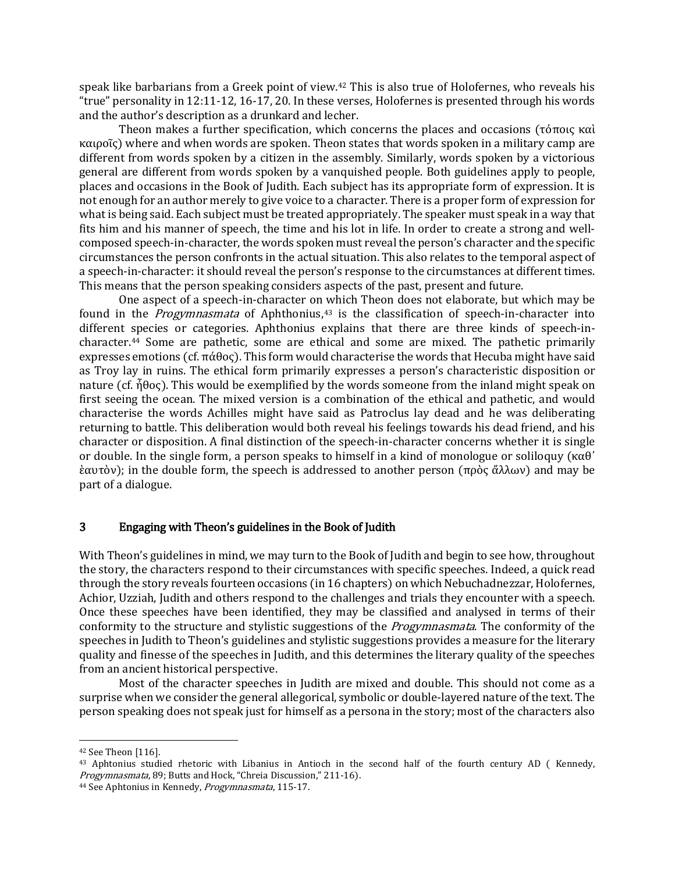speak like barbarians from a Greek point of view.[42](#page-6-0) This is also true of Holofernes, who reveals his "true" personality in 12:11-12, 16-17, 20. In these verses, Holofernes is presented through his words and the author's description as a drunkard and lecher.

Theon makes a further specification, which concerns the places and occasions (τόποις καὶ καιροῖς) where and when words are spoken. Theon states that words spoken in a military camp are different from words spoken by a citizen in the assembly. Similarly, words spoken by a victorious general are different from words spoken by a vanquished people. Both guidelines apply to people, places and occasions in the Book of Judith. Each subject has its appropriate form of expression. It is not enough for an author merely to give voice to a character. There is a proper form of expression for what is being said. Each subject must be treated appropriately. The speaker must speak in a way that fits him and his manner of speech, the time and his lot in life. In order to create a strong and wellcomposed speech-in-character, the words spoken must reveal the person's character and the specific circumstances the person confronts in the actual situation. This also relates to the temporal aspect of a speech-in-character: it should reveal the person's response to the circumstances at different times. This means that the person speaking considers aspects of the past, present and future.

One aspect of a speech-in-character on which Theon does not elaborate, but which may be found in the *Progymnasmata* of Aphthonius,<sup>[43](#page-6-1)</sup> is the classification of speech-in-character into different species or categories. Aphthonius explains that there are three kinds of speech-incharacter.[44](#page-6-2) Some are pathetic, some are ethical and some are mixed. The pathetic primarily expresses emotions (cf. πάθος). This form would characterise the words that Hecuba might have said as Troy lay in ruins. The ethical form primarily expresses a person's characteristic disposition or nature (cf.  $\tilde{\eta}$ θος). This would be exemplified by the words someone from the inland might speak on first seeing the ocean. The mixed version is a combination of the ethical and pathetic, and would characterise the words Achilles might have said as Patroclus lay dead and he was deliberating returning to battle. This deliberation would both reveal his feelings towards his dead friend, and his character or disposition. A final distinction of the speech-in-character concerns whether it is single or double. In the single form, a person speaks to himself in a kind of monologue or soliloquy (καθ' ἑαυτὸν); in the double form, the speech is addressed to another person (πρὸς ἄλλων) and may be part of a dialogue.

#### 3 Engaging with Theon's guidelines in the Book of Judith

With Theon's guidelines in mind, we may turn to the Book of Judith and begin to see how, throughout the story, the characters respond to their circumstances with specific speeches. Indeed, a quick read through the story reveals fourteen occasions (in 16 chapters) on which Nebuchadnezzar, Holofernes, Achior, Uzziah, Judith and others respond to the challenges and trials they encounter with a speech. Once these speeches have been identified, they may be classified and analysed in terms of their conformity to the structure and stylistic suggestions of the *Progymnasmata*. The conformity of the speeches in Judith to Theon's guidelines and stylistic suggestions provides a measure for the literary quality and finesse of the speeches in Judith, and this determines the literary quality of the speeches from an ancient historical perspective.

Most of the character speeches in Judith are mixed and double. This should not come as a surprise when we consider the general allegorical, symbolic or double-layered nature of the text. The person speaking does not speak just for himself as a persona in the story; most of the characters also

<span id="page-6-0"></span><sup>42</sup> See Theon [116].

<span id="page-6-1"></span><sup>43</sup> Aphtonius studied rhetoric with Libanius in Antioch in the second half of the fourth century AD ( Kennedy, Progymnasmata, 89; Butts and Hock, "Chreia Discussion," 211-16).

<span id="page-6-2"></span><sup>44</sup> See Aphtonius in Kennedy, Progymnasmata, 115-17.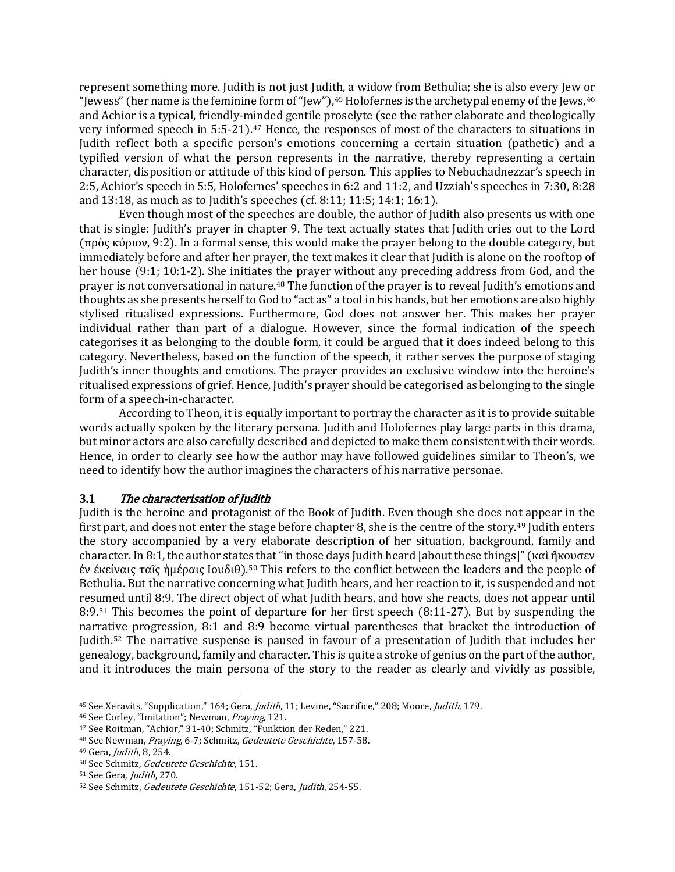represent something more. Judith is not just Judith, a widow from Bethulia; she is also every Jew or "Jewess" (her name is the feminine form of "Jew"), $45$  Holofernes is the archetypal enemy of the Jews, $46$ and Achior is a typical, friendly-minded gentile proselyte (see the rather elaborate and theologically very informed speech in 5:5-21).[47](#page-7-2) Hence, the responses of most of the characters to situations in Judith reflect both a specific person's emotions concerning a certain situation (pathetic) and a typified version of what the person represents in the narrative, thereby representing a certain character, disposition or attitude of this kind of person. This applies to Nebuchadnezzar's speech in 2:5, Achior's speech in 5:5, Holofernes' speeches in 6:2 and 11:2, and Uzziah's speeches in 7:30, 8:28 and 13:18, as much as to Judith's speeches (cf. 8:11; 11:5; 14:1; 16:1).

Even though most of the speeches are double, the author of Judith also presents us with one that is single: Judith's prayer in chapter 9. The text actually states that Judith cries out to the Lord (πρὸς κύριον, 9:2). In a formal sense, this would make the prayer belong to the double category, but immediately before and after her prayer, the text makes it clear that Judith is alone on the rooftop of her house (9:1; 10:1-2). She initiates the prayer without any preceding address from God, and the prayer is not conversational in nature.[48](#page-7-3) The function of the prayer is to reveal Judith's emotions and thoughts as she presents herself to God to "act as" a tool in his hands, but her emotions are also highly stylised ritualised expressions. Furthermore, God does not answer her. This makes her prayer individual rather than part of a dialogue. However, since the formal indication of the speech categorises it as belonging to the double form, it could be argued that it does indeed belong to this category. Nevertheless, based on the function of the speech, it rather serves the purpose of staging Judith's inner thoughts and emotions. The prayer provides an exclusive window into the heroine's ritualised expressions of grief. Hence, Judith's prayer should be categorised as belonging to the single form of a speech-in-character.

According to Theon, it is equally important to portray the character as it is to provide suitable words actually spoken by the literary persona. Judith and Holofernes play large parts in this drama, but minor actors are also carefully described and depicted to make them consistent with their words. Hence, in order to clearly see how the author may have followed guidelines similar to Theon's, we need to identify how the author imagines the characters of his narrative personae.

# 3.1 The characterisation of Judith

Judith is the heroine and protagonist of the Book of Judith. Even though she does not appear in the first part, and does not enter the stage before chapter 8, she is the centre of the story.<sup>[49](#page-7-4)</sup> Judith enters the story accompanied by a very elaborate description of her situation, background, family and character. In 8:1, the author states that"in those days Judith heard [about these things]" (καὶ ἤκουσεν ἐν ἐκείναις ταῖς ἡμέραις Ιουδιθ).[50](#page-7-5) This refers to the conflict between the leaders and the people of Bethulia. But the narrative concerning what Judith hears, and her reaction to it, is suspended and not resumed until 8:9. The direct object of what Judith hears, and how she reacts, does not appear until 8:9.[51](#page-7-6) This becomes the point of departure for her first speech (8:11-27). But by suspending the narrative progression, 8:1 and 8:9 become virtual parentheses that bracket the introduction of Judith.[52](#page-7-7) The narrative suspense is paused in favour of a presentation of Judith that includes her genealogy, background, family and character. This is quite a stroke of genius on the part of the author, and it introduces the main persona of the story to the reader as clearly and vividly as possible,

<span id="page-7-0"></span><sup>45</sup> See Xeravits, "Supplication," 164; Gera, Judith, 11; Levine, "Sacrifice," 208; Moore, Judith, 179.

<span id="page-7-2"></span><span id="page-7-1"></span><sup>&</sup>lt;sup>46</sup> See Corley, "Imitation"; Newman, *Praying*, 121.

<sup>47</sup> See Roitman, "Achior," 31-40; Schmitz, "Funktion der Reden," 221.

<span id="page-7-3"></span><sup>48</sup> See Newman, Praying, 6-7; Schmitz, Gedeutete Geschichte, 157-58.

<span id="page-7-4"></span><sup>49</sup> Gera, Judith, 8, 254.

<span id="page-7-5"></span><sup>50</sup> See Schmitz, Gedeutete Geschichte, 151.

<span id="page-7-6"></span><sup>51</sup> See Gera, Judith, 270.

<span id="page-7-7"></span><sup>52</sup> See Schmitz, Gedeutete Geschichte, 151-52; Gera, Judith, 254-55.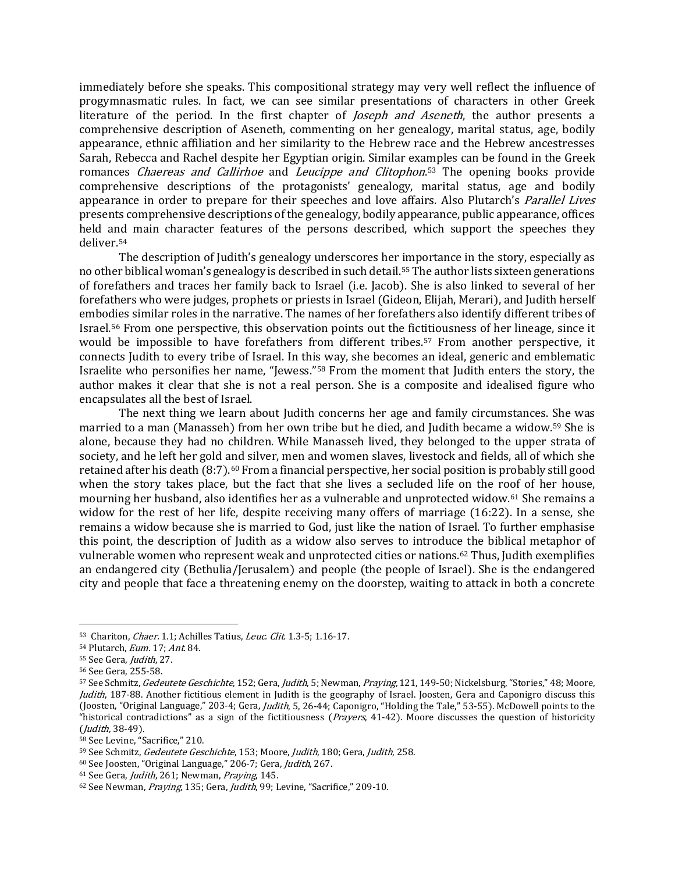immediately before she speaks. This compositional strategy may very well reflect the influence of progymnasmatic rules. In fact, we can see similar presentations of characters in other Greek literature of the period. In the first chapter of *Joseph and Aseneth*, the author presents a comprehensive description of Aseneth, commenting on her genealogy, marital status, age, bodily appearance, ethnic affiliation and her similarity to the Hebrew race and the Hebrew ancestresses Sarah, Rebecca and Rachel despite her Egyptian origin. Similar examples can be found in the Greek romances *Chaereas and Callirhoe* and *Leucippe and Clitophon*.<sup>[53](#page-8-0)</sup> The opening books provide comprehensive descriptions of the protagonists' genealogy, marital status, age and bodily appearance in order to prepare for their speeches and love affairs. Also Plutarch's *Parallel Lives* presents comprehensive descriptions of the genealogy, bodily appearance, public appearance, offices held and main character features of the persons described, which support the speeches they deliver.[54](#page-8-1)

The description of Judith's genealogy underscores her importance in the story, especially as no other biblical woman's genealogy is described in such detail.[55](#page-8-2) The author lists sixteen generations of forefathers and traces her family back to Israel (i.e. Jacob). She is also linked to several of her forefathers who were judges, prophets or priests in Israel (Gideon, Elijah, Merari), and Judith herself embodies similar roles in the narrative. The names of her forefathers also identify different tribes of Israel.[56](#page-8-3) From one perspective, this observation points out the fictitiousness of her lineage, since it would be impossible to have forefathers from different tribes.[57](#page-8-4) From another perspective, it connects Judith to every tribe of Israel. In this way, she becomes an ideal, generic and emblematic Israelite who personifies her name, "Jewess."[58](#page-8-5) From the moment that Judith enters the story, the author makes it clear that she is not a real person. She is a composite and idealised figure who encapsulates all the best of Israel.

The next thing we learn about Judith concerns her age and family circumstances. She was married to a man (Manasseh) from her own tribe but he died, and Judith became a widow.[59](#page-8-6) She is alone, because they had no children. While Manasseh lived, they belonged to the upper strata of society, and he left her gold and silver, men and women slaves, livestock and fields, all of which she retained after his death (8:7).[60](#page-8-7) From a financial perspective, her social position is probably still good when the story takes place, but the fact that she lives a secluded life on the roof of her house, mourning her husband, also identifies her as a vulnerable and unprotected widow.[61](#page-8-8) She remains a widow for the rest of her life, despite receiving many offers of marriage (16:22). In a sense, she remains a widow because she is married to God, just like the nation of Israel. To further emphasise this point, the description of Judith as a widow also serves to introduce the biblical metaphor of vulnerable women who represent weak and unprotected cities or nations[.62](#page-8-9) Thus, Judith exemplifies an endangered city (Bethulia/Jerusalem) and people (the people of Israel). She is the endangered city and people that face a threatening enemy on the doorstep, waiting to attack in both a concrete

<span id="page-8-1"></span><span id="page-8-0"></span><sup>53</sup> Chariton, Chaer. 1.1; Achilles Tatius, Leuc. Clit. 1.3-5; 1.16-17.

<span id="page-8-2"></span><sup>54</sup> Plutarch, Eum. 17; Ant. 84.

<span id="page-8-3"></span><sup>55</sup> See Gera, Judith, 27.

<span id="page-8-4"></span><sup>56</sup> See Gera, 255-58.

<sup>57</sup> See Schmitz, Gedeutete Geschichte, 152; Gera, Judith, 5; Newman, Praying, 121, 149-50; Nickelsburg, "Stories," 48; Moore, Judith, 187-88. Another fictitious element in Judith is the geography of Israel. Joosten, Gera and Caponigro discuss this (Joosten, "Original Language," 203-4; Gera, Judith, 5, 26-44; Caponigro, "Holding the Tale," 53-55). McDowell points to the "historical contradictions" as a sign of the fictitiousness ( $Prayers$ ,  $41-42$ ). Moore discusses the question of historicity (Judith, 38-49).

<span id="page-8-6"></span><span id="page-8-5"></span><sup>58</sup> See Levine, "Sacrifice," 210.

<span id="page-8-7"></span><sup>59</sup> See Schmitz, Gedeutete Geschichte, 153; Moore, Judith, 180; Gera, Judith, 258.

<span id="page-8-8"></span><sup>60</sup> See Joosten, "Original Language," 206-7; Gera, Judith, 267.

<span id="page-8-9"></span><sup>61</sup> See Gera, Judith, 261; Newman, Praying, 145.

<span id="page-8-10"></span><sup>62</sup> See Newman, Praying, 135; Gera, Judith, 99; Levine, "Sacrifice," 209-10.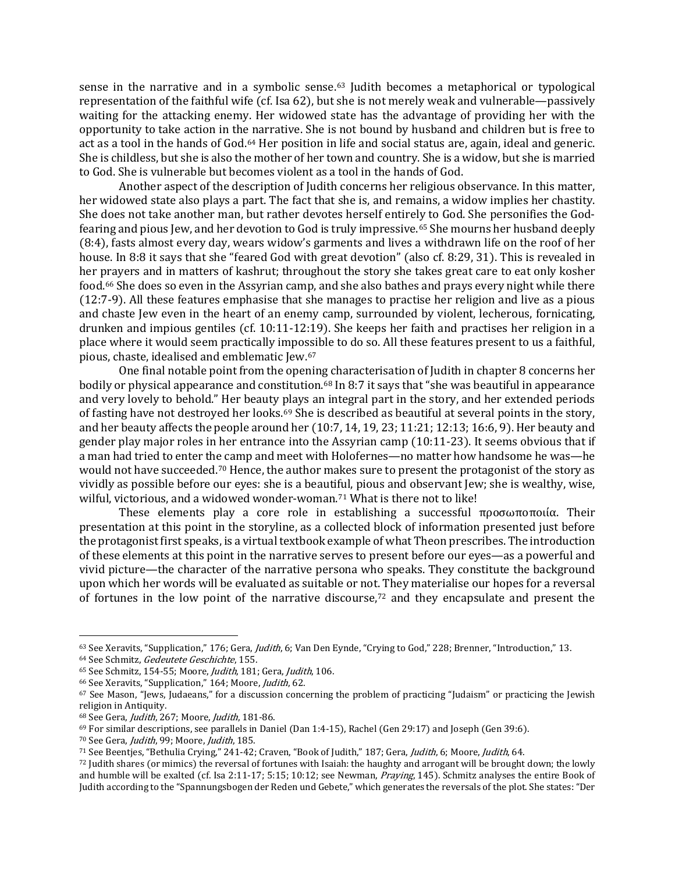sense in the narrative and in a symbolic sense.<sup>[63](#page-8-10)</sup> Judith becomes a metaphorical or typological representation of the faithful wife (cf. Isa 62), but she is not merely weak and vulnerable—passively waiting for the attacking enemy. Her widowed state has the advantage of providing her with the opportunity to take action in the narrative. She is not bound by husband and children but is free to act as a tool in the hands of God.[64](#page-9-0) Her position in life and social status are, again, ideal and generic. She is childless, but she is also the mother of her town and country. She is a widow, but she is married to God. She is vulnerable but becomes violent as a tool in the hands of God.

Another aspect of the description of Judith concerns her religious observance. In this matter, her widowed state also plays a part. The fact that she is, and remains, a widow implies her chastity. She does not take another man, but rather devotes herself entirely to God. She personifies the Godfearing and pious Jew, and her devotion to God is truly impressive.[65](#page-9-1) She mourns her husband deeply (8:4), fasts almost every day, wears widow's garments and lives a withdrawn life on the roof of her house. In 8:8 it says that she "feared God with great devotion" (also cf. 8:29, 31). This is revealed in her prayers and in matters of kashrut; throughout the story she takes great care to eat only kosher food.[66](#page-9-2) She does so even in the Assyrian camp, and she also bathes and prays every night while there (12:7-9). All these features emphasise that she manages to practise her religion and live as a pious and chaste Jew even in the heart of an enemy camp, surrounded by violent, lecherous, fornicating, drunken and impious gentiles (cf. 10:11-12:19). She keeps her faith and practises her religion in a place where it would seem practically impossible to do so. All these features present to us a faithful, pious, chaste, idealised and emblematic Jew.[67](#page-9-3)

One final notable point from the opening characterisation of Judith in chapter 8 concerns her bodily or physical appearance and constitution.<sup>[68](#page-9-4)</sup> In 8:7 it says that "she was beautiful in appearance and very lovely to behold." Her beauty plays an integral part in the story, and her extended periods of fasting have not destroyed her looks.[69](#page-9-5) She is described as beautiful at several points in the story, and her beauty affects the people around her (10:7, 14, 19, 23; 11:21; 12:13; 16:6, 9). Her beauty and gender play major roles in her entrance into the Assyrian camp (10:11-23). It seems obvious that if a man had tried to enter the camp and meet with Holofernes—no matter how handsome he was—he would not have succeeded.[70](#page-9-6) Hence, the author makes sure to present the protagonist of the story as vividly as possible before our eyes: she is a beautiful, pious and observant Jew; she is wealthy, wise, wilful, victorious, and a widowed wonder-woman.<sup>[71](#page-9-7)</sup> What is there not to like!

These elements play a core role in establishing a successful προσωποποιία. Their presentation at this point in the storyline, as a collected block of information presented just before the protagonist first speaks, is a virtual textbook example of what Theon prescribes. The introduction of these elements at this point in the narrative serves to present before our eyes—as a powerful and vivid picture—the character of the narrative persona who speaks. They constitute the background upon which her words will be evaluated as suitable or not. They materialise our hopes for a reversal of fortunes in the low point of the narrative discourse,[72](#page-9-8) and they encapsulate and present the

<sup>63</sup> See Xeravits, "Supplication," 176; Gera, *Judith*, 6; Van Den Eynde, "Crying to God," 228; Brenner, "Introduction," 13.

<span id="page-9-0"></span><sup>64</sup> See Schmitz, Gedeutete Geschichte, 155.

<span id="page-9-1"></span><sup>65</sup> See Schmitz, 154-55; Moore, Judith, 181; Gera, Judith, 106.

<span id="page-9-2"></span><sup>66</sup> See Xeravits, "Supplication," 164; Moore, Judith, 62.

<span id="page-9-3"></span> $67$  See Mason, "Jews, Judaeans," for a discussion concerning the problem of practicing "Judaism" or practicing the Jewish religion in Antiquity.

<span id="page-9-4"></span><sup>68</sup> See Gera, Judith, 267; Moore, Judith, 181-86.

<span id="page-9-5"></span><sup>69</sup> For similar descriptions, see parallels in Daniel (Dan 1:4-15), Rachel (Gen 29:17) and Joseph (Gen 39:6).

<span id="page-9-6"></span><sup>70</sup> See Gera, Judith, 99; Moore, Judith, 185.

<span id="page-9-7"></span><sup>71</sup> See Beentjes, "Bethulia Crying," 241-42; Craven, "Book of Judith," 187; Gera, Judith, 6; Moore, Judith, 64.

<span id="page-9-8"></span><sup>72</sup> Judith shares (or mimics) the reversal of fortunes with Isaiah: the haughty and arrogant will be brought down; the lowly and humble will be exalted (cf. Isa 2:11-17; 5:15; 10:12; see Newman, Praying, 145). Schmitz analyses the entire Book of Judith according to the "Spannungsbogen der Reden und Gebete," which generates the reversals of the plot. She states: "Der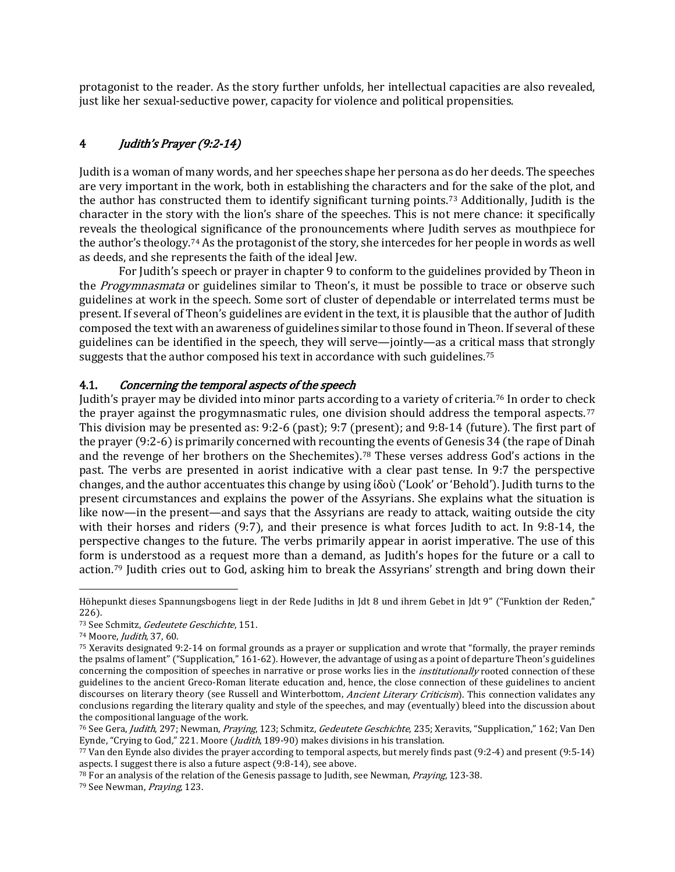protagonist to the reader. As the story further unfolds, her intellectual capacities are also revealed, just like her sexual-seductive power, capacity for violence and political propensities.

# 4 Judith's Prayer (9:2-14)

Judith is a woman of many words, and her speeches shape her persona as do her deeds. The speeches are very important in the work, both in establishing the characters and for the sake of the plot, and the author has constructed them to identify significant turning points.[73](#page-10-0) Additionally, Judith is the character in the story with the lion's share of the speeches. This is not mere chance: it specifically reveals the theological significance of the pronouncements where Judith serves as mouthpiece for the author's theology.[74](#page-10-1) As the protagonist of the story, she intercedes for her people in words as well as deeds, and she represents the faith of the ideal Jew.

For Judith's speech or prayer in chapter 9 to conform to the guidelines provided by Theon in the *Progymnasmata* or guidelines similar to Theon's, it must be possible to trace or observe such guidelines at work in the speech. Some sort of cluster of dependable or interrelated terms must be present. If several of Theon's guidelines are evident in the text, it is plausible that the author of Judith composed the text with an awareness of guidelines similar to those found in Theon. If several of these guidelines can be identified in the speech, they will serve—jointly—as a critical mass that strongly suggests that the author composed his text in accordance with such guidelines.[75](#page-10-2)

### 4.1. Concerning the temporal aspects of the speech

Judith's prayer may be divided into minor parts according to a variety of criteria.<sup>[76](#page-10-3)</sup> In order to check the prayer against the progymnasmatic rules, one division should address the temporal aspects.<sup>[77](#page-10-4)</sup> This division may be presented as: 9:2-6 (past); 9:7 (present); and 9:8-14 (future). The first part of the prayer (9:2-6) is primarily concerned with recounting the events of Genesis 34 (the rape of Dinah and the revenge of her brothers on the Shechemites).[78](#page-10-5) These verses address God's actions in the past. The verbs are presented in aorist indicative with a clear past tense. In 9:7 the perspective changes, and the author accentuates this change by using ἰδοὺ ('Look' or 'Behold'). Judith turns to the present circumstances and explains the power of the Assyrians. She explains what the situation is like now—in the present—and says that the Assyrians are ready to attack, waiting outside the city with their horses and riders (9:7), and their presence is what forces Judith to act. In 9:8-14, the perspective changes to the future. The verbs primarily appear in aorist imperative. The use of this form is understood as a request more than a demand, as Judith's hopes for the future or a call to action.[79](#page-10-6) Judith cries out to God, asking him to break the Assyrians' strength and bring down their

Höhepunkt dieses Spannungsbogens liegt in der Rede Judiths in Jdt 8 und ihrem Gebet in Jdt 9" ("Funktion der Reden," 226).

<span id="page-10-0"></span><sup>73</sup> See Schmitz, Gedeutete Geschichte, 151.

<span id="page-10-1"></span><sup>74</sup> Moore, Judith, 37, 60.

<span id="page-10-2"></span><sup>75</sup> Xeravits designated 9:2-14 on formal grounds as a prayer or supplication and wrote that "formally, the prayer reminds the psalms of lament" ("Supplication," 161-62). However, the advantage of using as a point of departure Theon's guidelines concerning the composition of speeches in narrative or prose works lies in the *institutionally* rooted connection of these guidelines to the ancient Greco-Roman literate education and, hence, the close connection of these guidelines to ancient discourses on literary theory (see Russell and Winterbottom, *Ancient Literary Criticism*). This connection validates any conclusions regarding the literary quality and style of the speeches, and may (eventually) bleed into the discussion about the compositional language of the work.

<span id="page-10-3"></span><sup>76</sup> See Gera, Judith, 297; Newman, Praying, 123; Schmitz, Gedeutete Geschichte, 235; Xeravits, "Supplication," 162; Van Den Eynde, "Crying to God," 221. Moore (*Judith*, 189-90) makes divisions in his translation.

<span id="page-10-4"></span><sup>77</sup> Van den Eynde also divides the prayer according to temporal aspects, but merely finds past (9:2-4) and present (9:5-14) aspects. I suggest there is also a future aspect (9:8-14), see above.

<span id="page-10-5"></span><sup>&</sup>lt;sup>78</sup> For an analysis of the relation of the Genesis passage to Judith, see Newman, *Praying*, 123-38.

<span id="page-10-6"></span><sup>79</sup> See Newman, Praying, 123.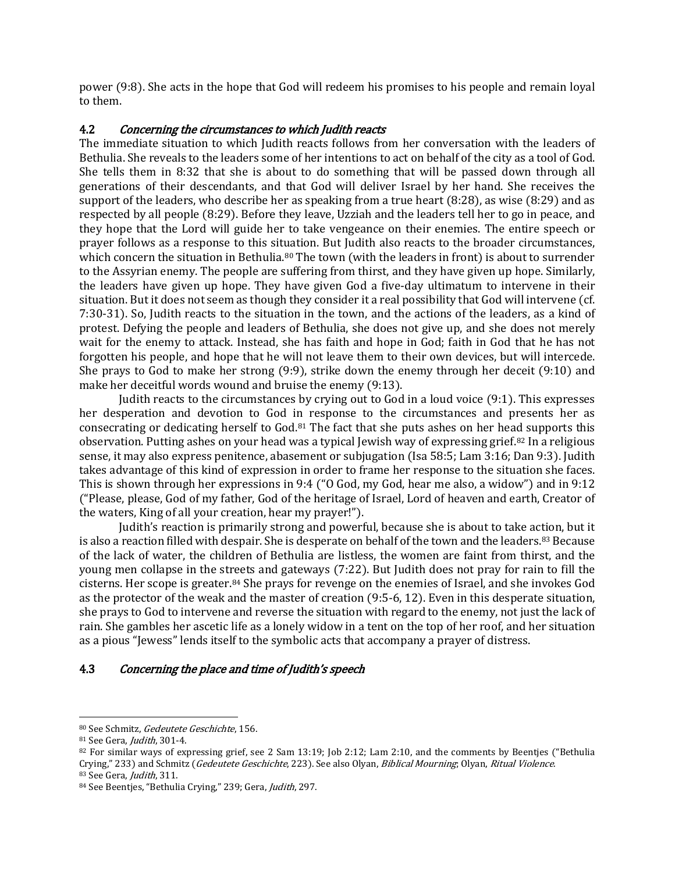power (9:8). She acts in the hope that God will redeem his promises to his people and remain loyal to them.

### 4.2 Concerning the circumstances to which Judith reacts

The immediate situation to which Judith reacts follows from her conversation with the leaders of Bethulia. She reveals to the leaders some of her intentions to act on behalf of the city as a tool of God. She tells them in 8:32 that she is about to do something that will be passed down through all generations of their descendants, and that God will deliver Israel by her hand. She receives the support of the leaders, who describe her as speaking from a true heart (8:28), as wise (8:29) and as respected by all people (8:29). Before they leave, Uzziah and the leaders tell her to go in peace, and they hope that the Lord will guide her to take vengeance on their enemies. The entire speech or prayer follows as a response to this situation. But Judith also reacts to the broader circumstances, which concern the situation in Bethulia.<sup>[80](#page-11-0)</sup> The town (with the leaders in front) is about to surrender to the Assyrian enemy. The people are suffering from thirst, and they have given up hope. Similarly, the leaders have given up hope. They have given God a five-day ultimatum to intervene in their situation. But it does not seem as though they consider it a real possibility that God will intervene (cf. 7:30-31). So, Judith reacts to the situation in the town, and the actions of the leaders, as a kind of protest. Defying the people and leaders of Bethulia, she does not give up, and she does not merely wait for the enemy to attack. Instead, she has faith and hope in God; faith in God that he has not forgotten his people, and hope that he will not leave them to their own devices, but will intercede. She prays to God to make her strong (9:9), strike down the enemy through her deceit (9:10) and make her deceitful words wound and bruise the enemy (9:13).

Judith reacts to the circumstances by crying out to God in a loud voice (9:1). This expresses her desperation and devotion to God in response to the circumstances and presents her as consecrating or dedicating herself to God.[81](#page-11-1) The fact that she puts ashes on her head supports this observation. Putting ashes on your head was a typical Jewish way of expressing grief.[82](#page-11-2) In a religious sense, it may also express penitence, abasement or subjugation (Isa 58:5; Lam 3:16; Dan 9:3). Judith takes advantage of this kind of expression in order to frame her response to the situation she faces. This is shown through her expressions in 9:4 ("O God, my God, hear me also, a widow") and in 9:12 ("Please, please, God of my father, God of the heritage of Israel, Lord of heaven and earth, Creator of the waters, King of all your creation, hear my prayer!").

Judith's reaction is primarily strong and powerful, because she is about to take action, but it is also a reaction filled with despair. She is desperate on behalf of the town and the leaders.<sup>[83](#page-11-3)</sup> Because of the lack of water, the children of Bethulia are listless, the women are faint from thirst, and the young men collapse in the streets and gateways (7:22). But Judith does not pray for rain to fill the cisterns. Her scope is greater.[84](#page-11-4) She prays for revenge on the enemies of Israel, and she invokes God as the protector of the weak and the master of creation (9:5-6, 12). Even in this desperate situation, she prays to God to intervene and reverse the situation with regard to the enemy, not just the lack of rain. She gambles her ascetic life as a lonely widow in a tent on the top of her roof, and her situation as a pious "Jewess" lends itself to the symbolic acts that accompany a prayer of distress.

# 4.3 Concerning the place and time of Judith's speech

 $\overline{a}$ 

<span id="page-11-3"></span>83 See Gera, *Judith*, 311.

<span id="page-11-0"></span><sup>80</sup> See Schmitz, Gedeutete Geschichte, 156.

<span id="page-11-1"></span><sup>81</sup> See Gera, Judith, 301-4.

<span id="page-11-2"></span><sup>82</sup> For similar ways of expressing grief, see 2 Sam 13:19; Job 2:12; Lam 2:10, and the comments by Beentjes ("Bethulia Crying," 233) and Schmitz (Gedeutete Geschichte, 223). See also Olyan, Biblical Mourning; Olyan, Ritual Violence.

<span id="page-11-4"></span><sup>84</sup> See Beentjes, "Bethulia Crying," 239; Gera, Judith, 297.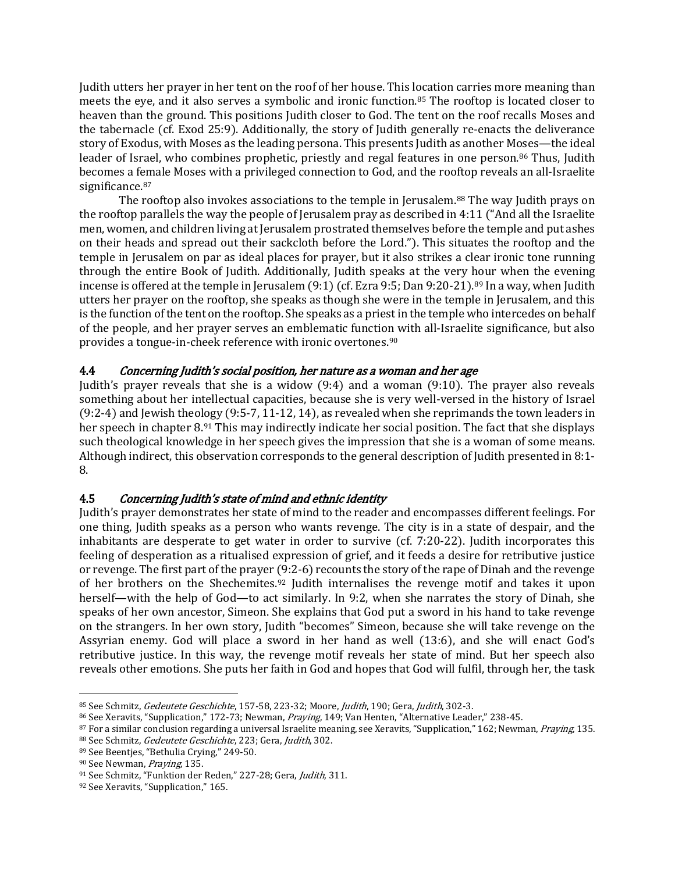Judith utters her prayer in her tent on the roof of her house. This location carries more meaning than meets the eye, and it also serves a symbolic and ironic function.[85](#page-12-0) The rooftop is located closer to heaven than the ground. This positions Judith closer to God. The tent on the roof recalls Moses and the tabernacle (cf. Exod 25:9). Additionally, the story of Judith generally re-enacts the deliverance story of Exodus, with Moses as the leading persona. This presents Judith as another Moses—the ideal leader of Israel, who combines prophetic, priestly and regal features in one person.<sup>86</sup> Thus, Judith becomes a female Moses with a privileged connection to God, and the rooftop reveals an all-Israelite significance.<sup>[87](#page-12-2)</sup>

The rooftop also invokes associations to the temple in Jerusalem.<sup>[88](#page-12-3)</sup> The way Judith prays on the rooftop parallels the way the people of Jerusalem pray as described in 4:11 ("And all the Israelite men, women, and children living at Jerusalem prostrated themselves before the temple and put ashes on their heads and spread out their sackcloth before the Lord."). This situates the rooftop and the temple in Jerusalem on par as ideal places for prayer, but it also strikes a clear ironic tone running through the entire Book of Judith. Additionally, Judith speaks at the very hour when the evening incense is offered at the temple in Jerusalem (9:1) (cf. Ezra 9:5; Dan 9:20-21).[89](#page-12-4) In a way, when Judith utters her prayer on the rooftop, she speaks as though she were in the temple in Jerusalem, and this is the function of the tent on the rooftop. She speaks as a priest in the temple who intercedes on behalf of the people, and her prayer serves an emblematic function with all-Israelite significance, but also provides a tongue-in-cheek reference with ironic overtones.[90](#page-12-5)

# 4.4 Concerning Judith's social position, her nature as a woman and her age

Judith's prayer reveals that she is a widow (9:4) and a woman (9:10). The prayer also reveals something about her intellectual capacities, because she is very well-versed in the history of Israel (9:2-4) and Jewish theology (9:5-7, 11-12, 14), as revealed when she reprimands the town leaders in her speech in chapter 8.[91](#page-12-6) This may indirectly indicate her social position. The fact that she displays such theological knowledge in her speech gives the impression that she is a woman of some means. Although indirect, this observation corresponds to the general description of Judith presented in 8:1- 8.

# 4.5 Concerning Judith's state of mind and ethnic identity

Judith's prayer demonstrates her state of mind to the reader and encompasses different feelings. For one thing, Judith speaks as a person who wants revenge. The city is in a state of despair, and the inhabitants are desperate to get water in order to survive (cf. 7:20-22). Judith incorporates this feeling of desperation as a ritualised expression of grief, and it feeds a desire for retributive justice or revenge. The first part of the prayer (9:2-6) recounts the story of the rape of Dinah and the revenge of her brothers on the Shechemites.[92](#page-12-7) Judith internalises the revenge motif and takes it upon herself—with the help of God—to act similarly. In 9:2, when she narrates the story of Dinah, she speaks of her own ancestor, Simeon. She explains that God put a sword in his hand to take revenge on the strangers. In her own story, Judith "becomes" Simeon, because she will take revenge on the Assyrian enemy. God will place a sword in her hand as well (13:6), and she will enact God's retributive justice. In this way, the revenge motif reveals her state of mind. But her speech also reveals other emotions. She puts her faith in God and hopes that God will fulfil, through her, the task

<span id="page-12-0"></span><sup>85</sup> See Schmitz, Gedeutete Geschichte, 157-58, 223-32; Moore, Judith, 190; Gera, Judith, 302-3.

<span id="page-12-1"></span><sup>86</sup> See Xeravits, "Supplication," 172-73; Newman, Praying, 149; Van Henten, "Alternative Leader," 238-45.

<span id="page-12-2"></span> $87$  For a similar conclusion regarding a universal Israelite meaning, see Xeravits, "Supplication," 162; Newman, *Praying*, 135.

<span id="page-12-3"></span><sup>88</sup> See Schmitz, Gedeutete Geschichte, 223; Gera, Judith, 302.

<span id="page-12-4"></span><sup>89</sup> See Beentjes, "Bethulia Crying," 249-50.

<span id="page-12-5"></span><sup>90</sup> See Newman, Praying, 135.

<span id="page-12-6"></span><sup>91</sup> See Schmitz, "Funktion der Reden," 227-28; Gera, Judith, 311.

<span id="page-12-7"></span><sup>92</sup> See Xeravits, "Supplication," 165.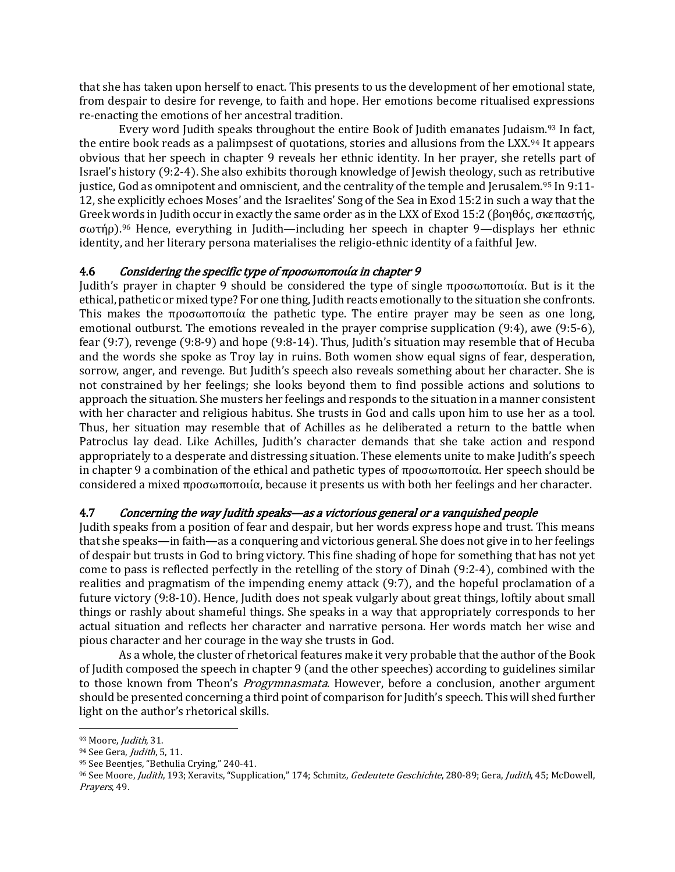that she has taken upon herself to enact. This presents to us the development of her emotional state, from despair to desire for revenge, to faith and hope. Her emotions become ritualised expressions re-enacting the emotions of her ancestral tradition.

Every word Judith speaks throughout the entire Book of Judith emanates Judaism.[93](#page-13-0) In fact, the entire book reads as a palimpsest of quotations, stories and allusions from the LXX.[94](#page-13-1) It appears obvious that her speech in chapter 9 reveals her ethnic identity. In her prayer, she retells part of Israel's history (9:2-4). She also exhibits thorough knowledge of Jewish theology, such as retributive justice, God as omnipotent and omniscient, and the centrality of the temple and Jerusalem.[95](#page-13-2) In 9:11- 12, she explicitly echoes Moses' and the Israelites' Song of the Sea in Exod 15:2 in such a way that the Greek words in Judith occur in exactly the same order as in the LXX of Exod 15:2 (βοηθός, σκεπαστής, σωτήρ).[96](#page-13-3) Hence, everything in Judith—including her speech in chapter 9—displays her ethnic identity, and her literary persona materialises the religio-ethnic identity of a faithful Jew.

# 4.6 Considering the specific type of προσωποποιία in chapter 9

Judith's prayer in chapter 9 should be considered the type of single προσωποποιία. But is it the ethical, pathetic or mixed type? For one thing, Judith reacts emotionally to the situation she confronts. This makes the προσωποποιία the pathetic type. The entire prayer may be seen as one long, emotional outburst. The emotions revealed in the prayer comprise supplication (9:4), awe (9:5-6), fear (9:7), revenge (9:8-9) and hope (9:8-14). Thus, Judith's situation may resemble that of Hecuba and the words she spoke as Troy lay in ruins. Both women show equal signs of fear, desperation, sorrow, anger, and revenge. But Judith's speech also reveals something about her character. She is not constrained by her feelings; she looks beyond them to find possible actions and solutions to approach the situation. She musters her feelings and responds to the situation in a manner consistent with her character and religious habitus. She trusts in God and calls upon him to use her as a tool. Thus, her situation may resemble that of Achilles as he deliberated a return to the battle when Patroclus lay dead. Like Achilles, Judith's character demands that she take action and respond appropriately to a desperate and distressing situation. These elements unite to make Judith's speech in chapter 9 a combination of the ethical and pathetic types of προσωποποιία. Her speech should be considered a mixed προσωποποιία, because it presents us with both her feelings and her character.

# 4.7 Concerning the way Judith speaks—as a victorious general or a vanquished people

Judith speaks from a position of fear and despair, but her words express hope and trust. This means that she speaks—in faith—as a conquering and victorious general. She does not give in to her feelings of despair but trusts in God to bring victory. This fine shading of hope for something that has not yet come to pass is reflected perfectly in the retelling of the story of Dinah (9:2-4), combined with the realities and pragmatism of the impending enemy attack (9:7), and the hopeful proclamation of a future victory (9:8-10). Hence, Judith does not speak vulgarly about great things, loftily about small things or rashly about shameful things. She speaks in a way that appropriately corresponds to her actual situation and reflects her character and narrative persona. Her words match her wise and pious character and her courage in the way she trusts in God.

As a whole, the cluster of rhetorical features make it very probable that the author of the Book of Judith composed the speech in chapter 9 (and the other speeches) according to guidelines similar to those known from Theon's *Progymnasmata*. However, before a conclusion, another argument should be presented concerning a third point of comparison for Judith's speech. This will shed further light on the author's rhetorical skills.

<span id="page-13-0"></span><sup>93</sup> Moore, Judith, 31.

<span id="page-13-1"></span><sup>94</sup> See Gera, *Judith*, 5, 11.

<span id="page-13-2"></span><sup>95</sup> See Beentjes, "Bethulia Crying," 240-41.

<span id="page-13-3"></span><sup>96</sup> See Moore, Judith, 193; Xeravits, "Supplication," 174; Schmitz, Gedeutete Geschichte, 280-89; Gera, Judith, 45; McDowell, Prayers, 49.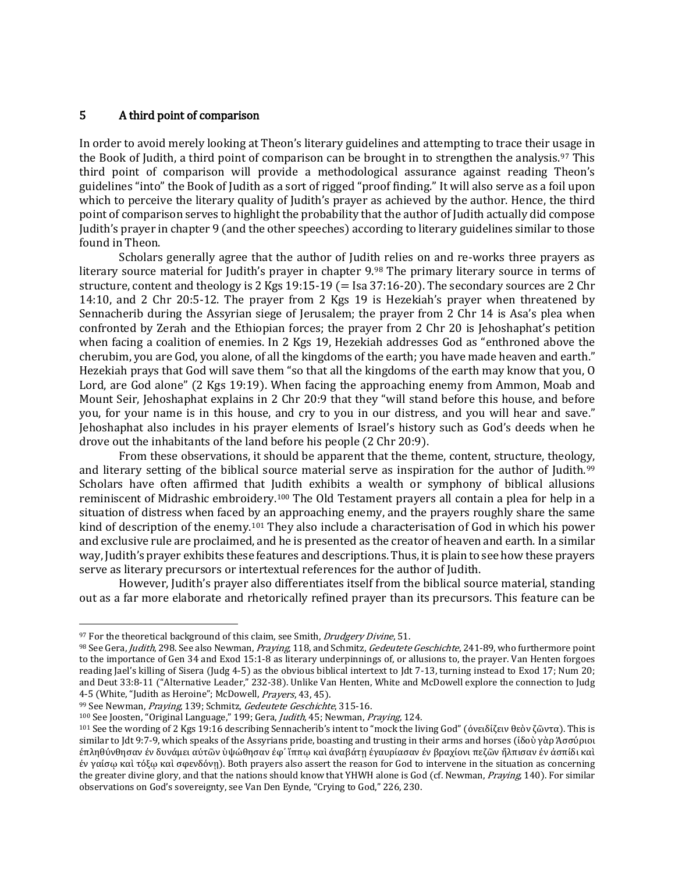### 5 A third point of comparison

In order to avoid merely looking at Theon's literary guidelines and attempting to trace their usage in the Book of Judith, a third point of comparison can be brought in to strengthen the analysis.<sup>[97](#page-14-0)</sup> This third point of comparison will provide a methodological assurance against reading Theon's guidelines "into" the Book of Judith as a sort of rigged "proof finding." It will also serve as a foil upon which to perceive the literary quality of Judith's prayer as achieved by the author. Hence, the third point of comparison serves to highlight the probability that the author of Judith actually did compose Judith's prayer in chapter 9 (and the other speeches) according to literary guidelines similar to those found in Theon.

Scholars generally agree that the author of Judith relies on and re-works three prayers as literary source material for Judith's prayer in chapter 9.[98](#page-14-1) The primary literary source in terms of structure, content and theology is 2 Kgs 19:15-19 (= Isa 37:16-20). The secondary sources are 2 Chr 14:10, and 2 Chr 20:5-12. The prayer from 2 Kgs 19 is Hezekiah's prayer when threatened by Sennacherib during the Assyrian siege of Jerusalem; the prayer from 2 Chr 14 is Asa's plea when confronted by Zerah and the Ethiopian forces; the prayer from 2 Chr 20 is Jehoshaphat's petition when facing a coalition of enemies. In 2 Kgs 19, Hezekiah addresses God as "enthroned above the cherubim, you are God, you alone, of all the kingdoms of the earth; you have made heaven and earth." Hezekiah prays that God will save them "so that all the kingdoms of the earth may know that you, O Lord, are God alone" (2 Kgs 19:19). When facing the approaching enemy from Ammon, Moab and Mount Seir, Jehoshaphat explains in 2 Chr 20:9 that they "will stand before this house, and before you, for your name is in this house, and cry to you in our distress, and you will hear and save." Jehoshaphat also includes in his prayer elements of Israel's history such as God's deeds when he drove out the inhabitants of the land before his people (2 Chr 20:9).

From these observations, it should be apparent that the theme, content, structure, theology, and literary setting of the biblical source material serve as inspiration for the author of Judith.[99](#page-14-2) Scholars have often affirmed that Judith exhibits a wealth or symphony of biblical allusions reminiscent of Midrashic embroidery[.100](#page-14-3) The Old Testament prayers all contain a plea for help in a situation of distress when faced by an approaching enemy, and the prayers roughly share the same kind of description of the enemy.<sup>101</sup> They also include a characterisation of God in which his power and exclusive rule are proclaimed, and he is presented as the creator of heaven and earth. In a similar way, Judith's prayer exhibits these features and descriptions. Thus, it is plain to see how these prayers serve as literary precursors or intertextual references for the author of Judith.

However, Judith's prayer also differentiates itself from the biblical source material, standing out as a far more elaborate and rhetorically refined prayer than its precursors. This feature can be

<span id="page-14-0"></span> $97$  For the theoretical background of this claim, see Smith, *Drudgery Divine*, 51.

<span id="page-14-1"></span><sup>98</sup> See Gera, Judith, 298. See also Newman, Praying, 118, and Schmitz, Gedeutete Geschichte, 241-89, who furthermore point to the importance of Gen 34 and Exod 15:1-8 as literary underpinnings of, or allusions to, the prayer. Van Henten forgoes reading Jael's killing of Sisera (Judg 4-5) as the obvious biblical intertext to Jdt 7-13, turning instead to Exod 17; Num 20; and Deut 33:8-11 ("Alternative Leader," 232-38). Unlike Van Henten, White and McDowell explore the connection to Judg 4-5 (White, "Judith as Heroine"; McDowell, Prayers, 43, 45).

<span id="page-14-2"></span><sup>99</sup> See Newman, Praying, 139; Schmitz, Gedeutete Geschichte, 315-16.

<span id="page-14-3"></span><sup>100</sup> See Joosten, "Original Language," 199; Gera, Judith, 45; Newman, Praying, 124.

<span id="page-14-4"></span><sup>&</sup>lt;sup>101</sup> See the wording of 2 Kgs 19:16 describing Sennacherib's intent to "mock the living God" (όνειδίζειν θεὸν ζῶντα). This is similar to Jdt 9:7-9, which speaks of the Assyrians pride, boasting and trusting in their arms and horses (ἰδοὺ γὰρ Ἀσσύριοι ἐπληθύνθησαν ἐν δυνάμει αὐτῶν ὑψώθησαν ἐφ᾽ ἵππῳ καὶ ἀναβάτῃ ἐγαυρίασαν ἐν βραχίονι πεζῶν ἤλπισαν ἐν ἀσπίδι καὶ ἐν γαίσῳ καὶ τόξῳ καὶ σφενδόνῃ). Both prayers also assert the reason for God to intervene in the situation as concerning the greater divine glory, and that the nations should know that YHWH alone is God (cf. Newman, Praying, 140). For similar observations on God's sovereignty, see Van Den Eynde, "Crying to God," 226, 230.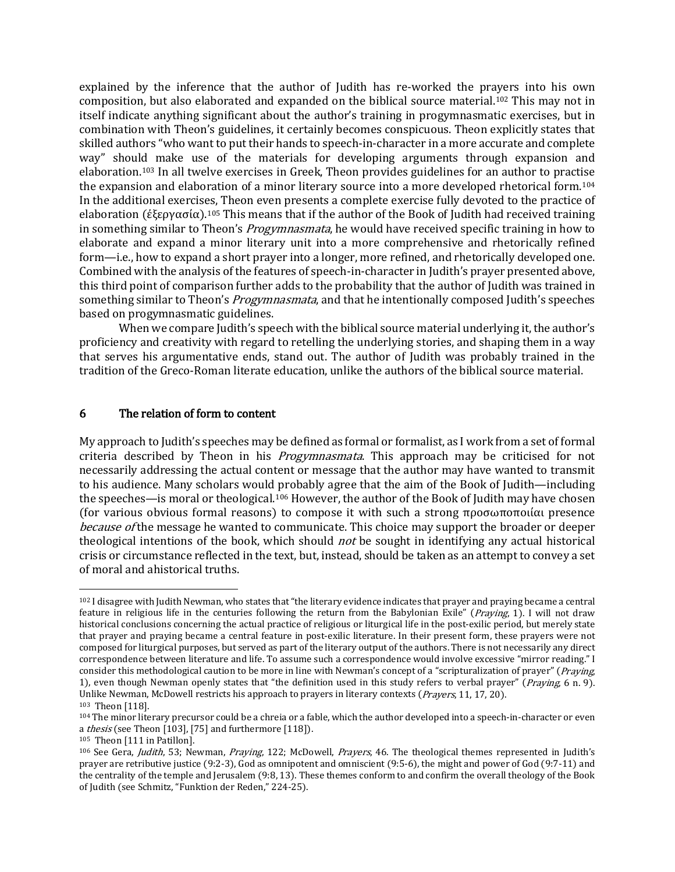explained by the inference that the author of Judith has re-worked the prayers into his own composition, but also elaborated and expanded on the biblical source material.[102](#page-15-0) This may not in itself indicate anything significant about the author's training in progymnasmatic exercises, but in combination with Theon's guidelines, it certainly becomes conspicuous. Theon explicitly states that skilled authors "who want to put their hands to speech-in-character in a more accurate and complete way" should make use of the materials for developing arguments through expansion and elaboration.[103](#page-15-1) In all twelve exercises in Greek, Theon provides guidelines for an author to practise the expansion and elaboration of a minor literary source into a more developed rhetorical form.[104](#page-15-2) In the additional exercises, Theon even presents a complete exercise fully devoted to the practice of elaboration (έξεργασία).<sup>105</sup> This means that if the author of the Book of Judith had received training in something similar to Theon's *Progymnasmata*, he would have received specific training in how to elaborate and expand a minor literary unit into a more comprehensive and rhetorically refined form—i.e., how to expand a short prayer into a longer, more refined, and rhetorically developed one. Combined with the analysis of the features of speech-in-character in Judith's prayer presented above, this third point of comparison further adds to the probability that the author of Judith was trained in something similar to Theon's *Progymnasmata*, and that he intentionally composed Judith's speeches based on progymnasmatic guidelines.

When we compare Judith's speech with the biblical source material underlying it, the author's proficiency and creativity with regard to retelling the underlying stories, and shaping them in a way that serves his argumentative ends, stand out. The author of Judith was probably trained in the tradition of the Greco-Roman literate education, unlike the authors of the biblical source material.

#### 6 The relation of form to content

My approach to Judith's speeches may be defined as formal or formalist, as I work from a set of formal criteria described by Theon in his *Progymnasmata*. This approach may be criticised for not necessarily addressing the actual content or message that the author may have wanted to transmit to his audience. Many scholars would probably agree that the aim of the Book of Judith—including the speeches—is moral or theological.[106](#page-15-4) However, the author of the Book of Judith may have chosen (for various obvious formal reasons) to compose it with such a strong προσωποποιίαι presence because of the message he wanted to communicate. This choice may support the broader or deeper theological intentions of the book, which should *not* be sought in identifying any actual historical crisis or circumstance reflected in the text, but, instead, should be taken as an attempt to convey a set of moral and ahistorical truths.

<span id="page-15-0"></span><sup>102</sup> I disagree with Judith Newman, who states that "the literary evidence indicates that prayer and praying became a central feature in religious life in the centuries following the return from the Babylonian Exile" (Praying, 1). I will not draw historical conclusions concerning the actual practice of religious or liturgical life in the post-exilic period, but merely state that prayer and praying became a central feature in post-exilic literature. In their present form, these prayers were not composed for liturgical purposes, but served as part of the literary output of the authors. There is not necessarily any direct correspondence between literature and life. To assume such a correspondence would involve excessive "mirror reading." I consider this methodological caution to be more in line with Newman's concept of a "scripturalization of prayer" (*Praying*, 1), even though Newman openly states that "the definition used in this study refers to verbal prayer" (*Praying*, 6 n. 9). Unlike Newman, McDowell restricts his approach to prayers in literary contexts (*Prayers*, 11, 17, 20). <sup>103</sup> Theon [118].

<span id="page-15-2"></span><span id="page-15-1"></span><sup>104</sup> The minor literary precursor could be a chreia or a fable, which the author developed into a speech-in-character or even a *thesis* (see Theon [103], [75] and furthermore [118]).

<span id="page-15-3"></span><sup>105</sup> Theon [111 in Patillon].

<span id="page-15-4"></span><sup>&</sup>lt;sup>106</sup> See Gera, *Judith*, 53; Newman, *Praying*, 122; McDowell, *Prayers*, 46. The theological themes represented in Judith's prayer are retributive justice (9:2-3), God as omnipotent and omniscient (9:5-6), the might and power of God (9:7-11) and the centrality of the temple and Jerusalem (9:8, 13). These themes conform to and confirm the overall theology of the Book of Judith (see Schmitz, "Funktion der Reden," 224-25).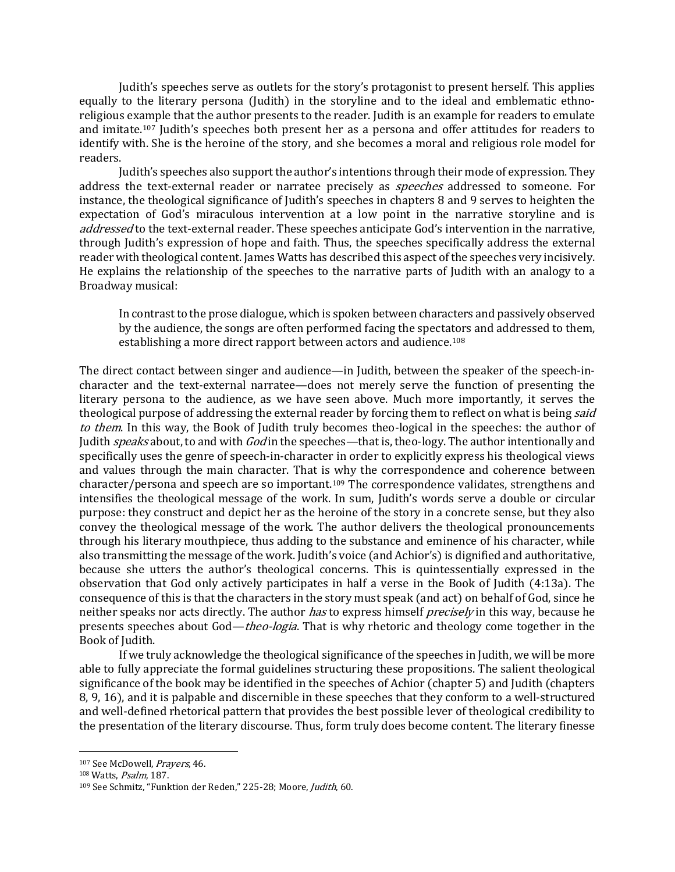Judith's speeches serve as outlets for the story's protagonist to present herself. This applies equally to the literary persona (Judith) in the storyline and to the ideal and emblematic ethnoreligious example that the author presents to the reader. Judith is an example for readers to emulate and imitate.[107](#page-16-0) Judith's speeches both present her as a persona and offer attitudes for readers to identify with. She is the heroine of the story, and she becomes a moral and religious role model for readers.

Judith's speeches also support the author's intentions through their mode of expression. They address the text-external reader or narratee precisely as *speeches* addressed to someone. For instance, the theological significance of Judith's speeches in chapters 8 and 9 serves to heighten the expectation of God's miraculous intervention at a low point in the narrative storyline and is addressed to the text-external reader. These speeches anticipate God's intervention in the narrative, through Judith's expression of hope and faith. Thus, the speeches specifically address the external reader with theological content. James Watts has described this aspect of the speeches very incisively. He explains the relationship of the speeches to the narrative parts of Judith with an analogy to a Broadway musical:

In contrast to the prose dialogue, which is spoken between characters and passively observed by the audience, the songs are often performed facing the spectators and addressed to them, establishing a more direct rapport between actors and audience.<sup>[108](#page-16-1)</sup>

The direct contact between singer and audience—in Judith, between the speaker of the speech-incharacter and the text-external narratee—does not merely serve the function of presenting the literary persona to the audience, as we have seen above. Much more importantly, it serves the theological purpose of addressing the external reader by forcing them to reflect on what is being *said* to them. In this way, the Book of Judith truly becomes theo-logical in the speeches: the author of Judith *speaks* about, to and with *God* in the speeches—that is, theo-logy. The author intentionally and specifically uses the genre of speech-in-character in order to explicitly express his theological views and values through the main character. That is why the correspondence and coherence between character/persona and speech are so important.<sup>[109](#page-16-2)</sup> The correspondence validates, strengthens and intensifies the theological message of the work. In sum, Judith's words serve a double or circular purpose: they construct and depict her as the heroine of the story in a concrete sense, but they also convey the theological message of the work. The author delivers the theological pronouncements through his literary mouthpiece, thus adding to the substance and eminence of his character, while also transmitting the message of the work. Judith's voice (and Achior's) is dignified and authoritative, because she utters the author's theological concerns. This is quintessentially expressed in the observation that God only actively participates in half a verse in the Book of Judith (4:13a). The consequence of this is that the characters in the story must speak (and act) on behalf of God, since he neither speaks nor acts directly. The author *has* to express himself *precisely* in this way, because he presents speeches about God—theo-logia. That is why rhetoric and theology come together in the Book of Judith.

If we truly acknowledge the theological significance of the speeches in Judith, we will be more able to fully appreciate the formal guidelines structuring these propositions. The salient theological significance of the book may be identified in the speeches of Achior (chapter 5) and Judith (chapters 8, 9, 16), and it is palpable and discernible in these speeches that they conform to a well-structured and well-defined rhetorical pattern that provides the best possible lever of theological credibility to the presentation of the literary discourse. Thus, form truly does become content. The literary finesse

<span id="page-16-0"></span><sup>107</sup> See McDowell, Prayers, 46.<br><sup>108</sup> Watts, Psalm, 187.

<span id="page-16-1"></span>

<span id="page-16-2"></span><sup>109</sup> See Schmitz, "Funktion der Reden," 225-28; Moore, Judith, 60.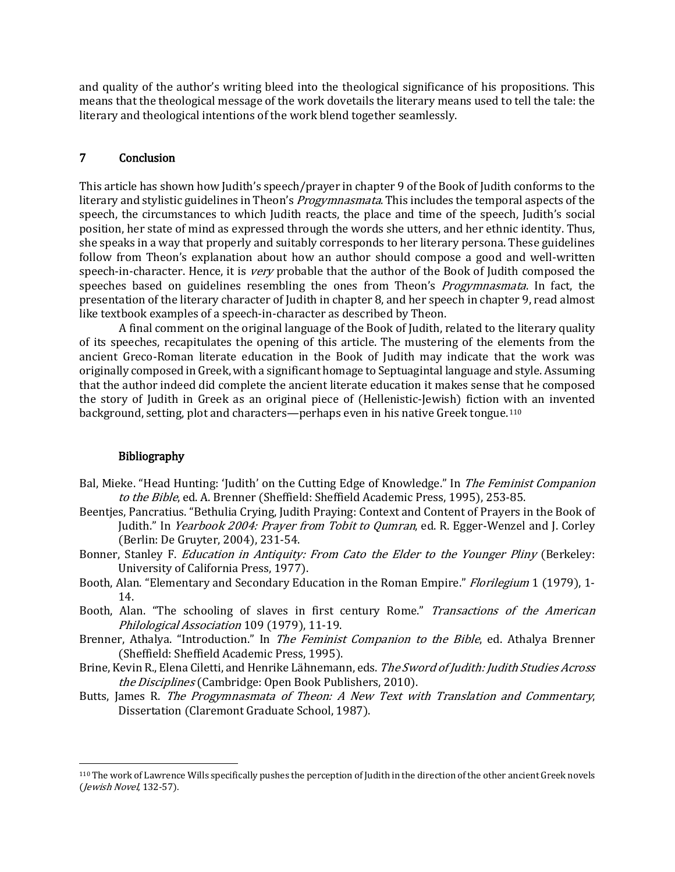and quality of the author's writing bleed into the theological significance of his propositions. This means that the theological message of the work dovetails the literary means used to tell the tale: the literary and theological intentions of the work blend together seamlessly.

### 7 Conclusion

This article has shown how Judith's speech/prayer in chapter 9 of the Book of Judith conforms to the literary and stylistic guidelines in Theon's *Progymnasmata*. This includes the temporal aspects of the speech, the circumstances to which Judith reacts, the place and time of the speech, Judith's social position, her state of mind as expressed through the words she utters, and her ethnic identity. Thus, she speaks in a way that properly and suitably corresponds to her literary persona. These guidelines follow from Theon's explanation about how an author should compose a good and well-written speech-in-character. Hence, it is *very* probable that the author of the Book of Judith composed the speeches based on guidelines resembling the ones from Theon's *Progymnasmata*. In fact, the presentation of the literary character of Judith in chapter 8, and her speech in chapter 9, read almost like textbook examples of a speech-in-character as described by Theon.

A final comment on the original language of the Book of Judith, related to the literary quality of its speeches, recapitulates the opening of this article. The mustering of the elements from the ancient Greco-Roman literate education in the Book of Judith may indicate that the work was originally composed in Greek, with a significant homage to Septuagintal language and style. Assuming that the author indeed did complete the ancient literate education it makes sense that he composed the story of Judith in Greek as an original piece of (Hellenistic-Jewish) fiction with an invented background, setting, plot and characters—perhaps even in his native Greek tongue.[110](#page-17-0)

# Bibliography

- Bal, Mieke. "Head Hunting: 'Judith' on the Cutting Edge of Knowledge." In The Feminist Companion to the Bible, ed. A. Brenner (Sheffield: Sheffield Academic Press, 1995), 253-85.
- Beentjes, Pancratius. "Bethulia Crying, Judith Praying: Context and Content of Prayers in the Book of Judith." In Yearbook 2004: Prayer from Tobit to Qumran, ed. R. Egger-Wenzel and J. Corley (Berlin: De Gruyter, 2004), 231-54.
- Bonner, Stanley F. Education in Antiquity: From Cato the Elder to the Younger Pliny (Berkeley: University of California Press, 1977).
- Booth, Alan. "Elementary and Secondary Education in the Roman Empire." *Florilegium* 1 (1979), 1-14.
- Booth, Alan. "The schooling of slaves in first century Rome." Transactions of the American Philological Association 109 (1979), 11-19.
- Brenner, Athalya. "Introduction." In The Feminist Companion to the Bible, ed. Athalya Brenner (Sheffield: Sheffield Academic Press, 1995).
- Brine, Kevin R., Elena Ciletti, and Henrike Lähnemann, eds. The Sword of Judith: Judith Studies Across the Disciplines (Cambridge: Open Book Publishers, 2010).
- Butts, James R. The Progymnasmata of Theon: A New Text with Translation and Commentary, Dissertation (Claremont Graduate School, 1987).

<span id="page-17-0"></span><sup>110</sup> The work of Lawrence Wills specifically pushes the perception of Judith in the direction of the other ancient Greek novels (Jewish Novel, 132-57).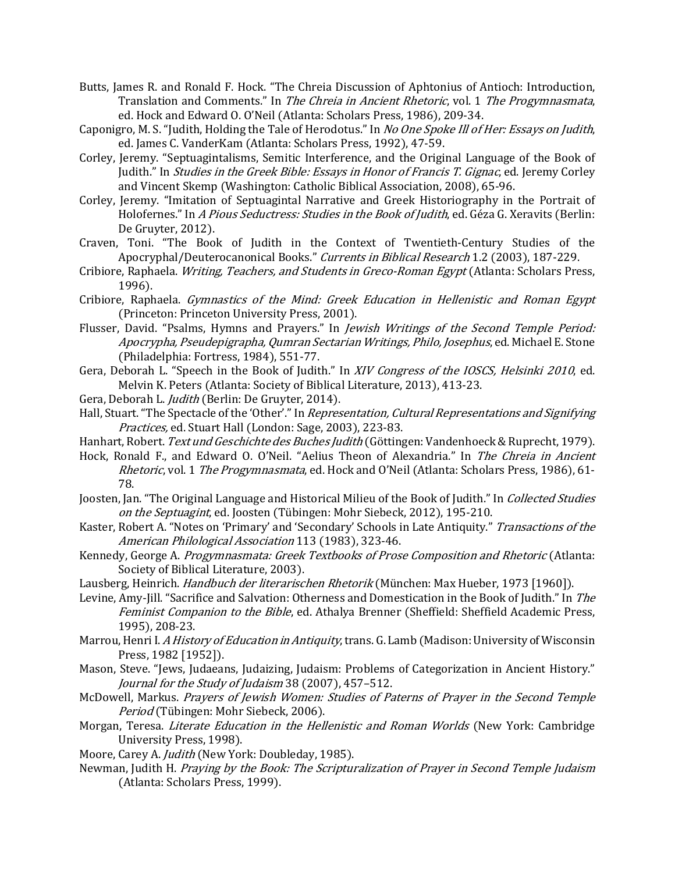- Butts, James R. and Ronald F. Hock. "The Chreia Discussion of Aphtonius of Antioch: Introduction, Translation and Comments." In *The Chreia in Ancient Rhetoric*, vol. 1 The Progymnasmata, ed. Hock and Edward O. O'Neil (Atlanta: Scholars Press, 1986), 209-34.
- Caponigro, M. S. "Judith, Holding the Tale of Herodotus." In No One Spoke Ill of Her: Essays on Judith, ed. James C. VanderKam (Atlanta: Scholars Press, 1992), 47-59.
- Corley, Jeremy. "Septuagintalisms, Semitic Interference, and the Original Language of the Book of Judith." In *Studies in the Greek Bible: Essays in Honor of Francis T. Gignac*, ed. Jeremy Corley and Vincent Skemp (Washington: Catholic Biblical Association, 2008), 65-96.
- Corley, Jeremy. "Imitation of Septuagintal Narrative and Greek Historiography in the Portrait of Holofernes." In A Pious Seductress: Studies in the Book of Judith, ed. Géza G. Xeravits (Berlin: De Gruyter, 2012).
- Craven, Toni. "The Book of Judith in the Context of Twentieth-Century Studies of the Apocryphal/Deuterocanonical Books." Currents in Biblical Research 1.2 (2003), 187-229.
- Cribiore, Raphaela. Writing, Teachers, and Students in Greco-Roman Egypt (Atlanta: Scholars Press, 1996).
- Cribiore, Raphaela. Gymnastics of the Mind: Greek Education in Hellenistic and Roman Egypt (Princeton: Princeton University Press, 2001).
- Flusser, David. "Psalms, Hymns and Prayers." In *Jewish Writings of the Second Temple Period:* Apocrypha, Pseudepigrapha, Qumran Sectarian Writings, Philo, Josephus, ed. Michael E. Stone (Philadelphia: Fortress, 1984), 551-77.
- Gera, Deborah L. "Speech in the Book of Judith." In XIV Congress of the IOSCS, Helsinki 2010, ed. Melvin K. Peters (Atlanta: Society of Biblical Literature, 2013), 413-23.
- Gera, Deborah L. Judith (Berlin: De Gruyter, 2014).
- Hall, Stuart. "The Spectacle of the 'Other'." In Representation, Cultural Representations and Signifying Practices, ed. Stuart Hall (London: Sage, 2003), 223-83.
- Hanhart, Robert. Text und Geschichte des Buches Judith (Göttingen: Vandenhoeck & Ruprecht, 1979).
- Hock, Ronald F., and Edward O. O'Neil. "Aelius Theon of Alexandria." In The Chreia in Ancient Rhetoric, vol. 1 The Progymnasmata, ed. Hock and O'Neil (Atlanta: Scholars Press, 1986), 61-78.
- Joosten, Jan. "The Original Language and Historical Milieu of the Book of Judith." In *Collected Studies* on the Septuagint, ed. Joosten (Tübingen: Mohr Siebeck, 2012), 195-210.
- Kaster, Robert A. "Notes on 'Primary' and 'Secondary' Schools in Late Antiquity." Transactions of the American Philological Association 113 (1983), 323-46.
- Kennedy, George A. Progymnasmata: Greek Textbooks of Prose Composition and Rhetoric (Atlanta: Society of Biblical Literature, 2003).
- Lausberg, Heinrich. Handbuch der literarischen Rhetorik (München: Max Hueber, 1973 [1960]).
- Levine, Amy-Jill. "Sacrifice and Salvation: Otherness and Domestication in the Book of Judith." In The Feminist Companion to the Bible, ed. Athalya Brenner (Sheffield: Sheffield Academic Press, 1995), 208-23.
- Marrou, Henri I. A History of Education in Antiquity, trans. G. Lamb (Madison: University of Wisconsin Press, 1982 [1952]).
- Mason, Steve. "Jews, Judaeans, Judaizing, Judaism: Problems of Categorization in Ancient History." Journal for the Study of Judaism 38 (2007), 457–512.
- McDowell, Markus. Prayers of Jewish Women: Studies of Paterns of Prayer in the Second Temple Period (Tübingen: Mohr Siebeck, 2006).
- Morgan, Teresa. Literate Education in the Hellenistic and Roman Worlds (New York: Cambridge University Press, 1998).
- Moore, Carey A. Judith (New York: Doubleday, 1985).
- Newman, Judith H. Praying by the Book: The Scripturalization of Prayer in Second Temple Judaism (Atlanta: Scholars Press, 1999).